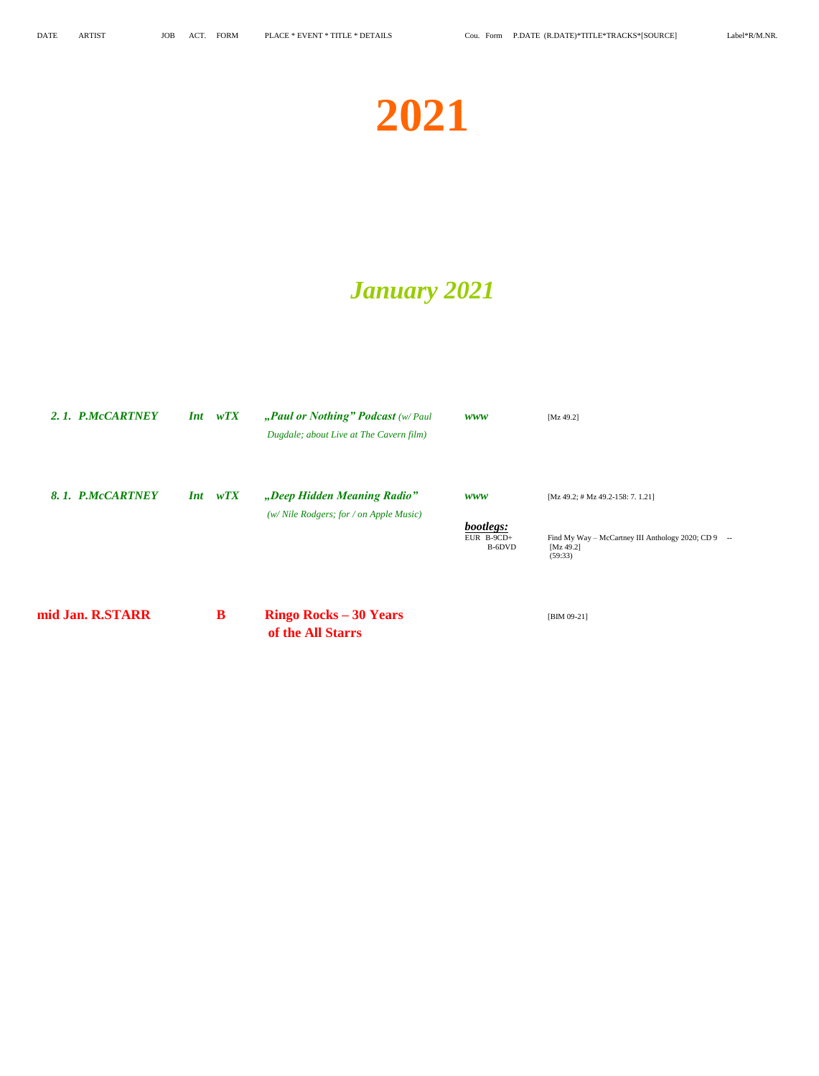# **2021**

## *January 2021*

| 2.1. P.McCARTNEY | <i>Int</i> | wTX       | "Paul or Nothing" Podcast (w/Paul<br>Dugdale; about Live at The Cavern film) | WWW                               | [Mz 49.2]                                                                             |
|------------------|------------|-----------|------------------------------------------------------------------------------|-----------------------------------|---------------------------------------------------------------------------------------|
| 8.1. P.McCARTNEY | <i>Int</i> | wTX       | "Deep Hidden Meaning Radio"                                                  | <i>www</i>                        | $[Mz 49.2; # Mz 49.2-158; 7. 1.21]$                                                   |
|                  |            |           | (w/ Nile Rodgers; for / on Apple Music)                                      | bootlegs:<br>EUR B-9CD+<br>B-6DVD | Find My Way - McCartney III Anthology 2020; CD 9<br>$\sim$<br>[ $Mz$ 49.2]<br>(59:33) |
| mid Jan. R.STARR |            | ${\bf B}$ | <b>Ringo Rocks – 30 Years</b><br>of the All Starrs                           |                                   | $[BIM 09-21]$                                                                         |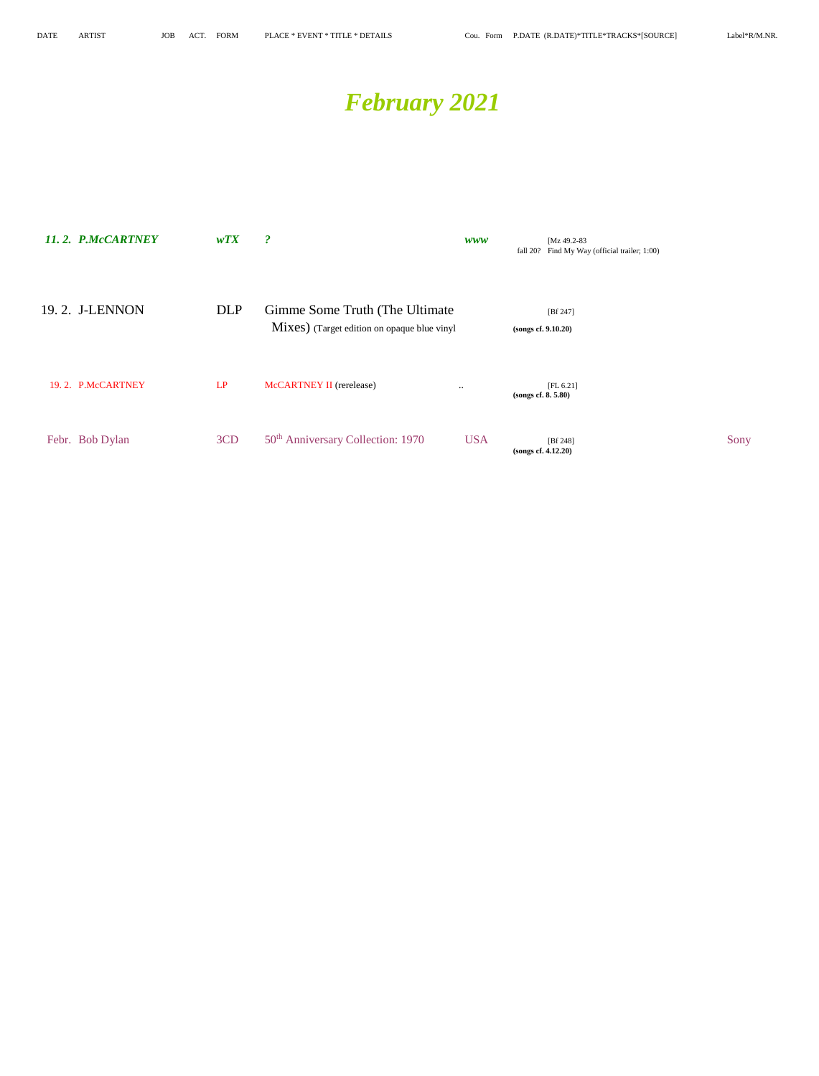## *February 2021*

| 11.2. P.McCARTNEY | WTX        | $\boldsymbol{\mathcal{P}}$                                                     | <b>WWW</b> |                    | [Mz 49.2-83]<br>fall 20? Find My Way (official trailer; 1:00) |      |
|-------------------|------------|--------------------------------------------------------------------------------|------------|--------------------|---------------------------------------------------------------|------|
| 19.2. J-LENNON    | <b>DLP</b> | Gimme Some Truth (The Ultimate)<br>Mixes) (Target edition on opaque blue vinyl |            |                    | [Bf 247]<br>(songs cf. 9.10.20)                               |      |
| 19.2. P.McCARTNEY | LP         | McCARTNEY II (rerelease)                                                       | $\ddotsc$  | (songs cf. 8.5.80) | [FL 6.21]                                                     |      |
| Febr. Bob Dylan   | 3CD        | 50 <sup>th</sup> Anniversary Collection: 1970                                  | <b>USA</b> |                    | [Bf 248]<br>(songs cf. 4.12.20)                               | Sony |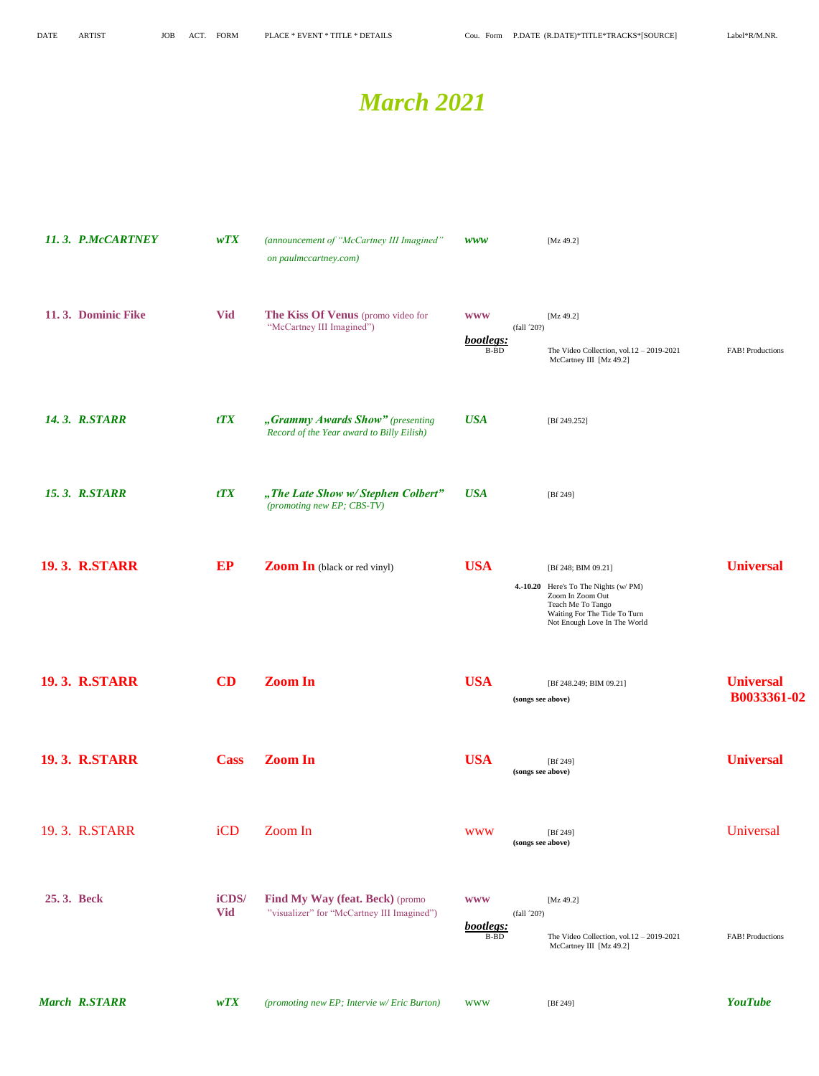### *March 2021*

|            | 11.3. P.McCARTNEY    | WTX                 | (announcement of "McCartney III Imagined"<br>on paulmccartney.com)            | <b>WWW</b>                      |                   | [ $Mz$ 49.2]                                                                                                                                                         |                                        |
|------------|----------------------|---------------------|-------------------------------------------------------------------------------|---------------------------------|-------------------|----------------------------------------------------------------------------------------------------------------------------------------------------------------------|----------------------------------------|
|            | 11.3. Dominic Fike   | <b>Vid</b>          | The Kiss Of Venus (promo video for<br>"McCartney III Imagined")               | <b>WWW</b><br>bootlegs:<br>B-BD | (fall '20?)       | [Mz 49.2]<br>The Video Collection, vol. $12 - 2019 - 2021$<br>McCartney III [Mz 49.2]                                                                                | <b>FAB!</b> Productions                |
|            | <b>14.3. R.STARR</b> | tTX                 | "Grammy Awards Show" (presenting<br>Record of the Year award to Billy Eilish) | <b>USA</b>                      |                   | [Bf 249.252]                                                                                                                                                         |                                        |
|            | <b>15.3. R.STARR</b> | tTX                 | "The Late Show w/Stephen Colbert"<br>(promoting new EP; CBS-TV)               | <b>USA</b>                      |                   | [ $Bf 249$ ]                                                                                                                                                         |                                        |
|            | <b>19.3. R.STARR</b> | EP                  | <b>Zoom In</b> (black or red vinyl)                                           | <b>USA</b>                      |                   | [Bf 248; BIM 09.21]<br>4.-10.20 Here's To The Nights (w/PM)<br>Zoom In Zoom Out<br>Teach Me To Tango<br>Waiting For The Tide To Turn<br>Not Enough Love In The World | <b>Universal</b>                       |
|            | <b>19.3. R.STARR</b> | CD                  | <b>Zoom In</b>                                                                | <b>USA</b>                      | (songs see above) | [Bf 248.249; BIM 09.21]                                                                                                                                              | <b>Universal</b><br><b>B0033361-02</b> |
|            | <b>19.3. R.STARR</b> | <b>Cass</b>         | <b>Zoom In</b>                                                                | <b>USA</b>                      | (songs see above) | [ $Bf 249$ ]                                                                                                                                                         | <b>Universal</b>                       |
|            | 19.3. R.STARR        | iCD                 | Zoom In                                                                       | <b>WWW</b>                      | (songs see above) | [Bf 249]                                                                                                                                                             | Universal                              |
| 25.3. Beck |                      | iCDS/<br><b>Vid</b> | Find My Way (feat. Beck) (promo<br>"visualizer" for "McCartney III Imagined") | <b>WWW</b><br>bootlegs:<br>B-BD | (fall '20?)       | [ $Mz$ 49.2]<br>The Video Collection, vol. $12 - 2019 - 2021$<br>McCartney III [Mz 49.2]                                                                             | FAB! Productions                       |
|            | <b>March R.STARR</b> | WTX                 | (promoting new EP; Intervie w/ Eric Burton)                                   | <b>WWW</b>                      |                   | [Bf 249]                                                                                                                                                             | <b>YouTube</b>                         |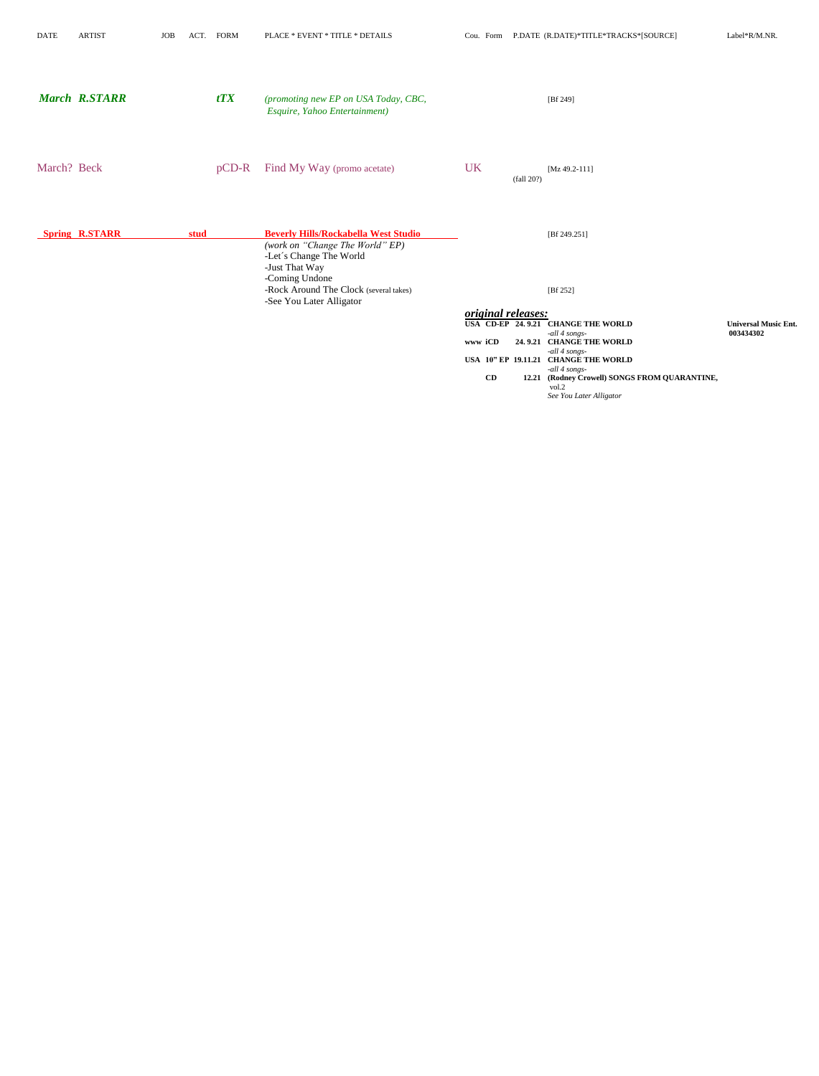| <b>DATE</b> | <b>ARTIST</b>         | <b>JOB</b> | ACT. | <b>FORM</b> | PLACE * EVENT * TITLE * DETAILS                                                                                             | Cou. Form                 |            | P.DATE (R.DATE)*TITLE*TRACKS*[SOURCE]                          | Label*R/M.NR.               |
|-------------|-----------------------|------------|------|-------------|-----------------------------------------------------------------------------------------------------------------------------|---------------------------|------------|----------------------------------------------------------------|-----------------------------|
|             | <b>March R.STARR</b>  |            |      | tTX         | (promoting new EP on USA Today, CBC,<br>Esquire, Yahoo Entertainment)                                                       |                           |            | [ $Bf 249$ ]                                                   |                             |
| March? Beck |                       |            |      | $pCD-R$     | Find My Way (promo acetate)                                                                                                 | <b>UK</b>                 | (fall 20?) | $[Mz 49.2-111]$                                                |                             |
|             | <b>Spring R.STARR</b> |            | stud |             | <b>Beverly Hills/Rockabella West Studio</b><br>(work on "Change The World" EP)<br>-Let's Change The World<br>-Just That Way |                           |            | [Bf 249.251]                                                   |                             |
|             |                       |            |      |             | -Coming Undone<br>-Rock Around The Clock (several takes)<br>-See You Later Alligator                                        |                           |            | [ $Bf 252$ ]                                                   |                             |
|             |                       |            |      |             |                                                                                                                             | <i>original releases:</i> |            | USA CD-EP 24.9.21 CHANGE THE WORLD                             | <b>Universal Music Ent.</b> |
|             |                       |            |      |             |                                                                                                                             | www iCD                   |            | -all 4 songs-<br>24.9.21 CHANGE THE WORLD                      | 003434302                   |
|             |                       |            |      |             |                                                                                                                             |                           |            | -all 4 songs-<br>USA 10" EP 19.11.21 CHANGE THE WORLD          |                             |
|             |                       |            |      |             |                                                                                                                             | CD                        |            | -all 4 songs-<br>12.21 (Rodney Crowell) SONGS FROM QUARANTINE, |                             |
|             |                       |            |      |             |                                                                                                                             |                           |            | vol.2<br>See You Later Alligator                               |                             |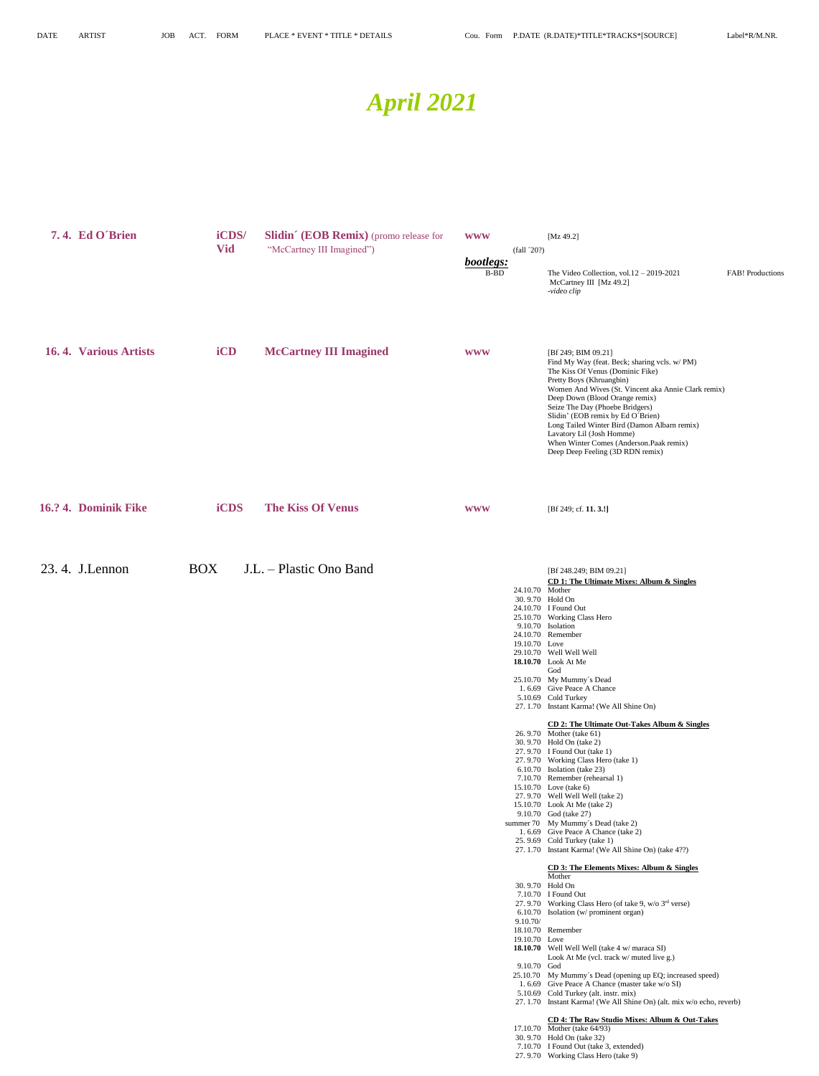## *April 2021*

| 7.4. Ed O'Brien       | iCDS/<br><b>Vid</b> | Slidin' (EOB Remix) (promo release for<br>"McCartney III Imagined") | <b>WWW</b><br>bootlegs:<br>B-BD | (fall 20?)                                                                                                                              | [ $Mz 49.2$ ]<br>The Video Collection, vol. $12 - 2019 - 2021$<br>McCartney III [Mz 49.2]<br>-video clip                                                                                                                                                                                                                                                                                                                                                                                                                                                                                                                                                                                                                                                                                                                                                                                                                                                                                                                                                                                                                                                                                                                                                                                                                                                                                                                                       | <b>FAB!</b> Productions |
|-----------------------|---------------------|---------------------------------------------------------------------|---------------------------------|-----------------------------------------------------------------------------------------------------------------------------------------|------------------------------------------------------------------------------------------------------------------------------------------------------------------------------------------------------------------------------------------------------------------------------------------------------------------------------------------------------------------------------------------------------------------------------------------------------------------------------------------------------------------------------------------------------------------------------------------------------------------------------------------------------------------------------------------------------------------------------------------------------------------------------------------------------------------------------------------------------------------------------------------------------------------------------------------------------------------------------------------------------------------------------------------------------------------------------------------------------------------------------------------------------------------------------------------------------------------------------------------------------------------------------------------------------------------------------------------------------------------------------------------------------------------------------------------------|-------------------------|
| 16.4. Various Artists | iCD                 | <b>McCartney III Imagined</b>                                       | <b>WWW</b>                      |                                                                                                                                         | [Bf 249; BIM 09.21]<br>Find My Way (feat. Beck; sharing vcls. w/ PM)<br>The Kiss Of Venus (Dominic Fike)<br>Pretty Boys (Khruangbin)<br>Women And Wives (St. Vincent aka Annie Clark remix)<br>Deep Down (Blood Orange remix)<br>Seize The Day (Phoebe Bridgers)<br>Slidin' (EOB remix by Ed O'Brien)<br>Long Tailed Winter Bird (Damon Albarn remix)<br>Lavatory Lil (Josh Homme)<br>When Winter Comes (Anderson.Paak remix)<br>Deep Deep Feeling (3D RDN remix)                                                                                                                                                                                                                                                                                                                                                                                                                                                                                                                                                                                                                                                                                                                                                                                                                                                                                                                                                                              |                         |
| 16.? 4. Dominik Fike  | <b>iCDS</b>         | <b>The Kiss Of Venus</b>                                            | <b>WWW</b>                      |                                                                                                                                         | [Bf 249; cf. 11. 3.!]                                                                                                                                                                                                                                                                                                                                                                                                                                                                                                                                                                                                                                                                                                                                                                                                                                                                                                                                                                                                                                                                                                                                                                                                                                                                                                                                                                                                                          |                         |
| 23.4. J.Lennon        | <b>BOX</b>          | J.L. - Plastic Ono Band                                             |                                 | 24.10.70 Mother<br>30.9.70 Hold On<br>9.10.70 Isolation<br>19.10.70 Love<br>30.9.70 Hold On<br>9.10.70/<br>19.10.70 Love<br>9.10.70 God | [Bf 248.249; BIM 09.21]<br><b>CD 1: The Ultimate Mixes: Album &amp; Singles</b><br>24.10.70 I Found Out<br>25.10.70 Working Class Hero<br>24.10.70 Remember<br>29.10.70 Well Well Well<br>18.10.70 Look At Me<br>God<br>25.10.70 My Mummy's Dead<br>1.6.69 Give Peace A Chance<br>5.10.69 Cold Turkey<br>27. 1.70 Instant Karma! (We All Shine On)<br>CD 2: The Ultimate Out-Takes Album & Singles<br>26.9.70 Mother (take 61)<br>30.9.70 Hold On (take 2)<br>27.9.70 I Found Out (take 1)<br>27.9.70 Working Class Hero (take 1)<br>6.10.70 Isolation (take 23)<br>7.10.70 Remember (rehearsal 1)<br>15.10.70 Love (take 6)<br>27.9.70 Well Well Well (take 2)<br>15.10.70 Look At Me (take 2)<br>9.10.70 God (take 27)<br>summer 70 My Mummy's Dead (take 2)<br>1.6.69 Give Peace A Chance (take 2)<br>25.9.69 Cold Turkey (take 1)<br>27. 1.70 Instant Karma! (We All Shine On) (take 4??)<br><b>CD 3: The Elements Mixes: Album &amp; Singles</b><br>Mother<br>7.10.70 I Found Out<br>27.9.70 Working Class Hero (of take 9, w/o 3rd verse)<br>6.10.70 Isolation (w/ prominent organ)<br>18.10.70 Remember<br>18.10.70 Well Well Well (take 4 w/ maraca SI)<br>Look At Me (vcl. track w/ muted live g.)<br>25.10.70 My Mummy's Dead (opening up EQ; increased speed)<br>1. 6.69 Give Peace A Chance (master take w/o SI)<br>5.10.69 Cold Turkey (alt. instr. mix)<br>27. 1.70 Instant Karma! (We All Shine On) (alt. mix w/o echo, reverb) |                         |
|                       |                     |                                                                     |                                 |                                                                                                                                         | CD 4: The Raw Studio Mixes: Album & Out-Takes<br>17.10.70 Mother (take 64/93)<br>30.9.70 Hold On (take 32)<br>7.10.70 I Found Out (take 3, extended)<br>27.9.70 Working Class Hero (take 9)                                                                                                                                                                                                                                                                                                                                                                                                                                                                                                                                                                                                                                                                                                                                                                                                                                                                                                                                                                                                                                                                                                                                                                                                                                                    |                         |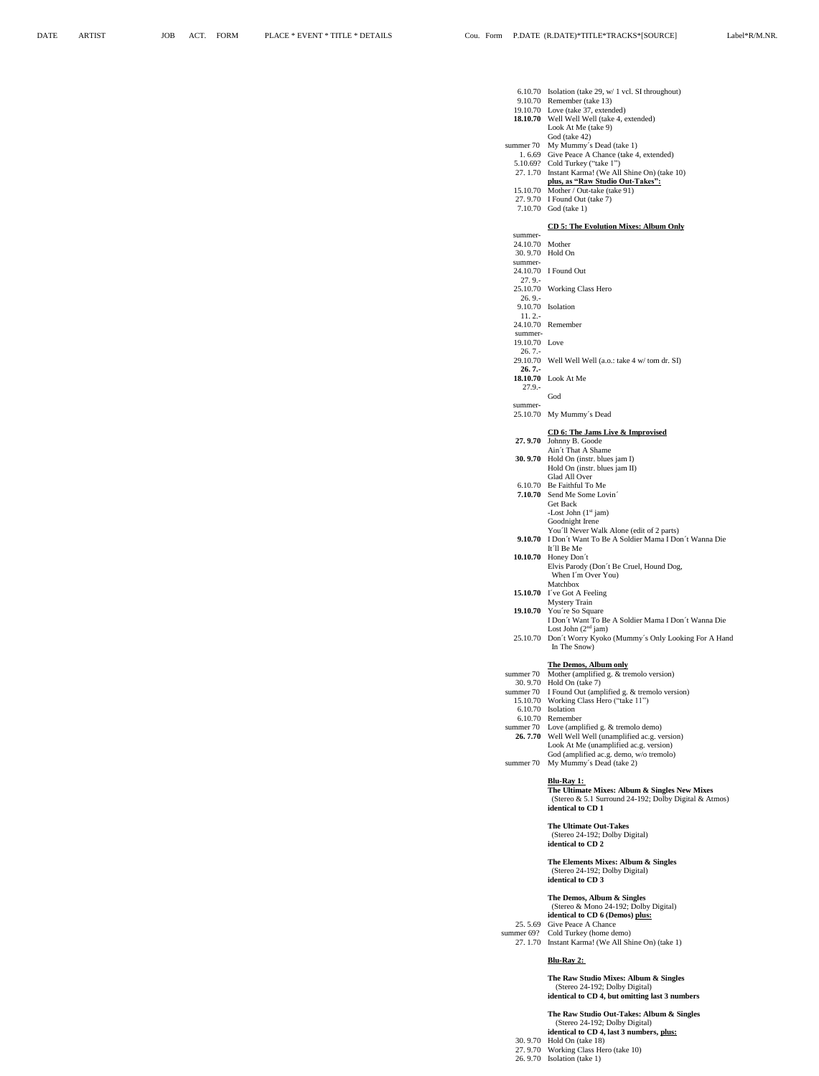|                            | 6.10.70 Isolation (take 29, $w/1$ vcl. SI throughout)                                                    |
|----------------------------|----------------------------------------------------------------------------------------------------------|
|                            | 9.10.70 Remember (take 13)<br>19.10.70 Love (take 37, extended)                                          |
|                            | 18.10.70 Well Well Well (take 4, extended)<br>Look At Me (take 9)                                        |
|                            | God (take 42)                                                                                            |
| summer 70                  | My Mummy's Dead (take 1)<br>1.6.69 Give Peace A Chance (take 4, extended)                                |
|                            | 5.10.69? Cold Turkey ("take 1")<br>27. 1.70 Instant Karma! (We All Shine On) (take 10)                   |
|                            | plus, as "Raw Studio Out-Takes":<br>15.10.70 Mother / Out-take (take 91)                                 |
|                            | 27.9.70 I Found Out (take 7)<br>7.10.70 God (take 1)                                                     |
|                            | <b>CD 5: The Evolution Mixes: Album Only</b>                                                             |
| summer-<br>24.10.70 Mother |                                                                                                          |
| 30.9.70                    | Hold On                                                                                                  |
| summer-<br>24.10.70        | I Found Out                                                                                              |
| $27.9 -$<br>25.10.70       | Working Class Hero                                                                                       |
| 26.9 -<br>9.10.70          | Isolation                                                                                                |
| $11.2 -$                   | 24.10.70 Remember                                                                                        |
| summer-<br>19.10.70 Love   |                                                                                                          |
| $26.7 -$                   |                                                                                                          |
| 29.10.70<br>$26.7 -$       | Well Well Well (a.o.: take 4 w/ tom dr. SI)                                                              |
| 18.10.70<br>27.9.-         | Look At Me                                                                                               |
| summer-                    | God                                                                                                      |
|                            | 25.10.70 My Mummy's Dead                                                                                 |
| 27.9.70                    | CD 6: The Jams Live & Improvised<br>Johnny B. Goode                                                      |
| 30.9.70                    | Ain't That A Shame<br>Hold On (instr. blues jam I)                                                       |
|                            | Hold On (instr. blues jam II)                                                                            |
|                            | Glad All Over<br>6.10.70 Be Faithful To Me                                                               |
| 7.10.70                    | Send Me Some Lovin<br>Get Back                                                                           |
|                            | -Lost John $(1st$ jam)<br>Goodnight Irene                                                                |
|                            | You'll Never Walk Alone (edit of 2 parts)<br>9.10.70 I Don't Want To Be A Soldier Mama I Don't Wanna Die |
|                            | It 11 Be Me                                                                                              |
|                            | 10.10.70 Honey Don't<br>Elvis Parody (Don't Be Cruel, Hound Dog,<br>When I'm Over You)                   |
|                            | Matchbox<br>15.10.70 I've Got A Feeling                                                                  |
|                            | <b>Mystery Train</b><br>19.10.70 You're So Square                                                        |
|                            | I Don't Want To Be A Soldier Mama I Don't Wanna Die                                                      |
|                            | Lost John $(2nd jam)$<br>25.10.70 Don't Worry Kyoko (Mummy's Only Looking For A Hand                     |
|                            | In The Snow)                                                                                             |
| summer 70                  | The Demos, Album only<br>Mother (amplified g. & tremolo version)                                         |
|                            | 30.9.70 Hold On (take 7)<br>summer 70 I Found Out (amplified g. & tremolo version)                       |
|                            | 15.10.70 Working Class Hero ("take 11")                                                                  |
|                            | 6.10.70 Isolation<br>6.10.70 Remember                                                                    |
|                            | summer 70 Love (amplified g. & tremolo demo)<br>26.7.70 Well Well Well (unamplified ac.g. version)       |
|                            | Look At Me (unamplified ac.g. version)<br>God (amplified ac.g. demo, w/o tremolo)                        |
| summer 70                  | My Mummy's Dead (take 2)                                                                                 |
|                            | <u> Blu-Ray 1:</u>                                                                                       |
|                            | The Ultimate Mixes: Album & Singles New Mixes<br>(Stereo & 5.1 Surround 24-192; Dolby Digital & Atmos)   |
|                            | identical to CD <sub>1</sub>                                                                             |
|                            | <b>The Ultimate Out-Takes</b><br>(Stereo 24-192; Dolby Digital)                                          |
|                            | identical to CD 2                                                                                        |
|                            | The Elements Mixes: Album & Singles<br>(Stereo 24-192; Dolby Digital)<br>identical to CD 3               |
|                            | The Demos, Album & Singles                                                                               |
|                            | (Stereo & Mono 24-192; Dolby Digital)<br>identical to CD 6 (Demos) plus:                                 |
| summer 69?                 | 25.5.69 Give Peace A Chance<br>Cold Turkey (home demo)                                                   |
| 27.1.70                    | Instant Karma! (We All Shine On) (take 1)                                                                |
|                            | Blu-Ray 2:                                                                                               |
|                            | The Raw Studio Mixes: Album & Singles                                                                    |
|                            | (Stereo 24-192; Dolby Digital)<br>identical to CD 4, but omitting last 3 numbers                         |
|                            |                                                                                                          |

### **The Raw Studio Out-Takes: Album & Singles**

(Stereo 24-192; Dolby Digital) **identical to CD 4, last 3 numbers, plus:** 30. 9.70 Hold On (take 18)

27. 9.70 Working Class Hero (take 10)

26. 9.70 Isolation (take 1)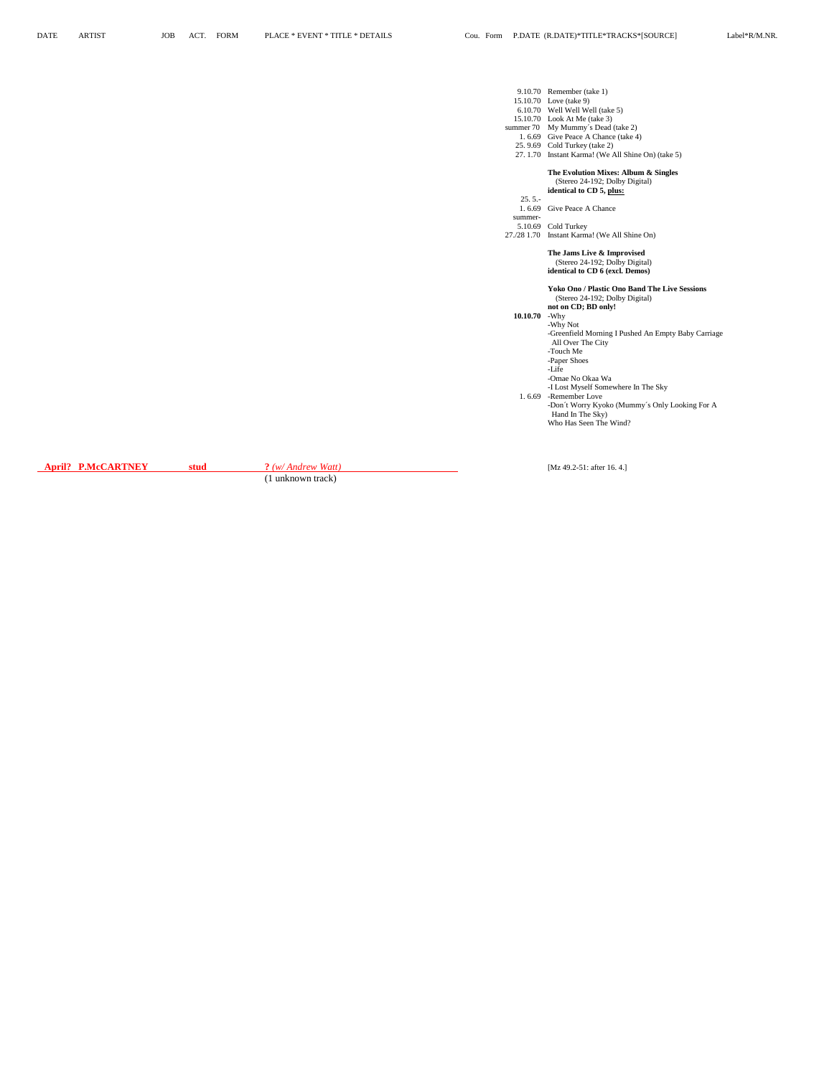|                                              | 9.10.70 Remember (take 1)<br>15.10.70 Love (take 9)<br>6.10.70 Well Well Well (take 5)<br>15.10.70 Look At Me (take 3)<br>summer 70 My Mummy's Dead (take 2)<br>1.6.69 Give Peace A Chance (take 4)<br>25.9.69 Cold Turkey (take 2)<br>27. 1.70 Instant Karma! (We All Shine On) (take 5)                                                                                                              |
|----------------------------------------------|--------------------------------------------------------------------------------------------------------------------------------------------------------------------------------------------------------------------------------------------------------------------------------------------------------------------------------------------------------------------------------------------------------|
| $25.5 -$<br>1.6.69<br>summer-<br>27./28 1.70 | The Evolution Mixes: Album & Singles<br>(Stereo 24-192; Dolby Digital)<br>identical to CD 5, plus:<br>Give Peace A Chance<br>5.10.69 Cold Turkey<br>Instant Karma! (We All Shine On)<br>The Jams Live & Improvised<br>(Stereo 24-192; Dolby Digital)<br>identical to CD 6 (excl. Demos)                                                                                                                |
| 10.10.70<br>1.6.69                           | <b>Yoko Ono / Plastic Ono Band The Live Sessions</b><br>(Stereo 24-192; Dolby Digital)<br>not on CD; BD only!<br>-Why<br>-Why Not<br>-Greenfield Morning I Pushed An Empty Baby Carriage<br>All Over The City<br>-Touch Me<br>-Paper Shoes<br>-Life<br>-Omae No Okaa Wa<br>-I Lost Myself Somewhere In The Sky<br>-Remember Love<br>-Don't Worry Kyoko (Mummy's Only Looking For A<br>Hand In The Sky) |
|                                              | Who Has Seen The Wind?                                                                                                                                                                                                                                                                                                                                                                                 |

**April? P.McCARTNEY stud ?** *(w/ Andrew Watt)* [Mz 49.2-51: after 16. 4.]

(1 unknown track)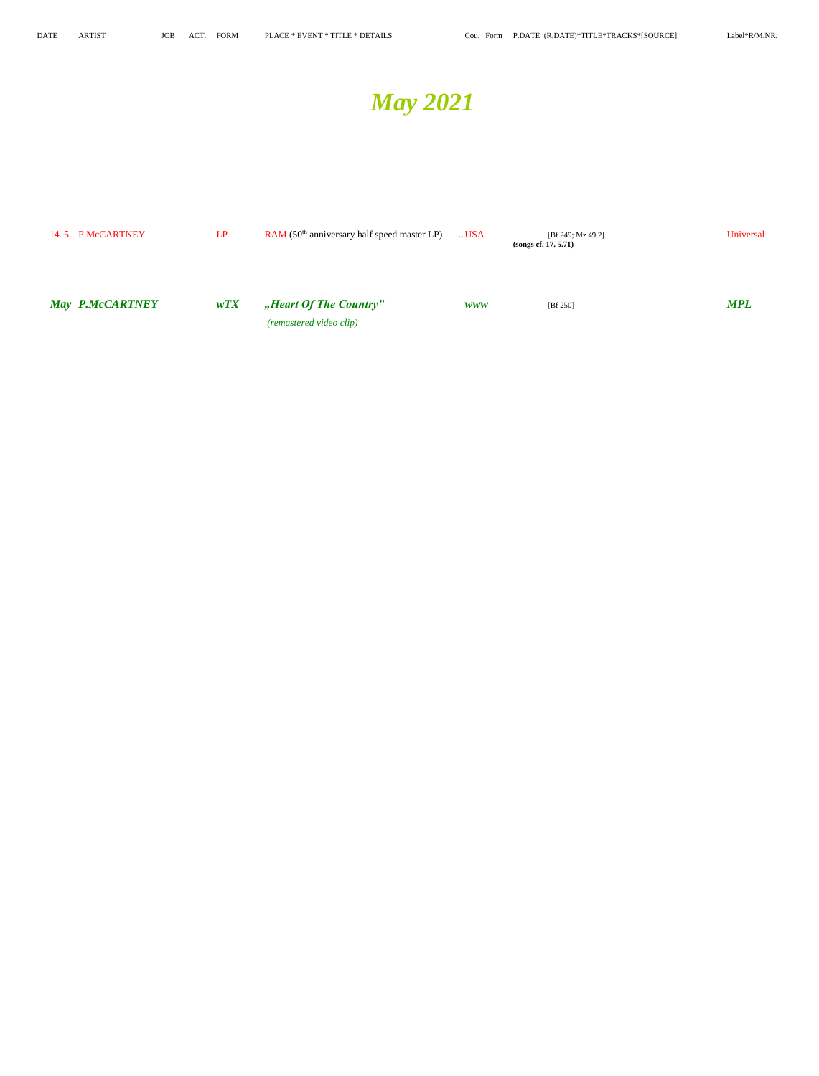## *May 2021*

| 14.5. P.McCARTNEY      | LP  | $RAM (50th anniversity half speed master LP)$ | USA        | [Bf 249; Mz 49.2]<br>(songs cf. $17.5.71$ ) | Universal  |
|------------------------|-----|-----------------------------------------------|------------|---------------------------------------------|------------|
|                        |     |                                               |            |                                             |            |
| <b>May P.McCARTNEY</b> | wTX | "Heart Of The Country"                        | <b>WWW</b> | [Bf 250]                                    | <b>MPL</b> |
|                        |     | (remastered video clip)                       |            |                                             |            |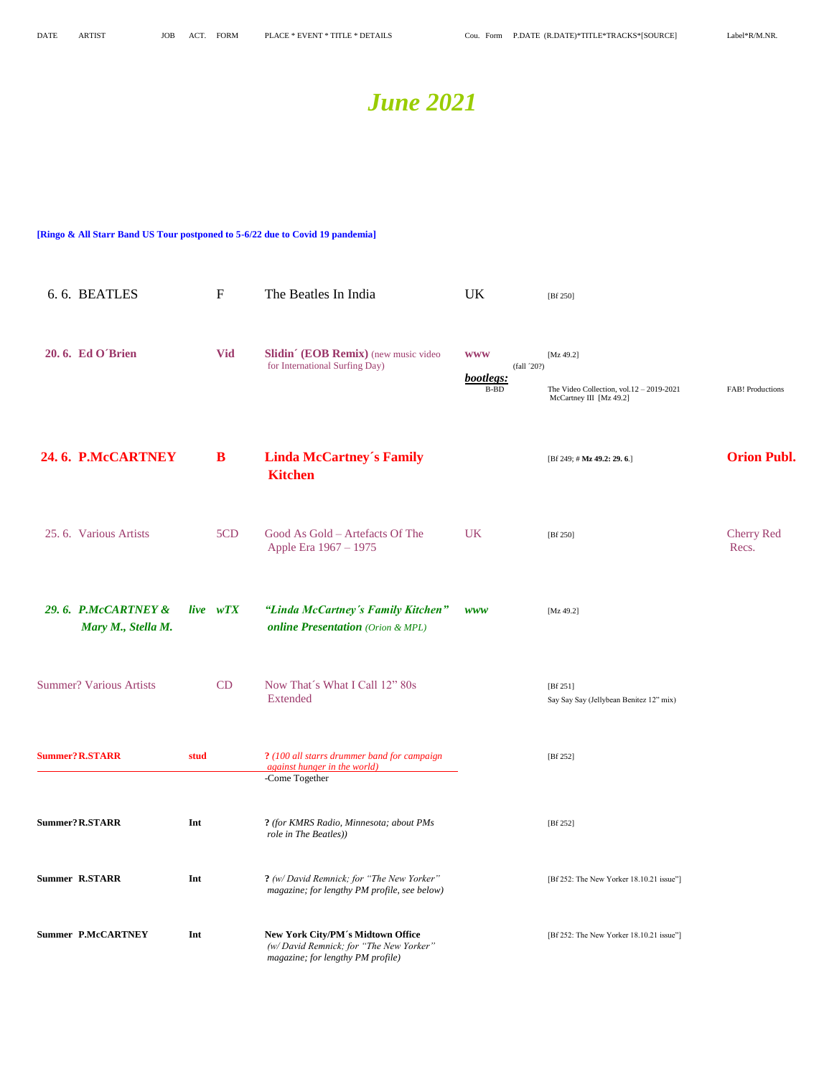### *June 2021*

### **[Ringo & All Starr Band US Tour postponed to 5-6/22 due to Covid 19 pandemia]**

| 6.6. BEATLES                              |      | $\boldsymbol{F}$ | The Beatles In India                                                                                             | <b>UK</b>                                     | [Bf 250]                                                                              |                            |
|-------------------------------------------|------|------------------|------------------------------------------------------------------------------------------------------------------|-----------------------------------------------|---------------------------------------------------------------------------------------|----------------------------|
| 20.6. Ed O'Brien                          |      | <b>Vid</b>       | Slidin' (EOB Remix) (new music video<br>for International Surfing Day)                                           | <b>WWW</b><br>(fall 20?)<br>bootlegs:<br>B-BD | [Mz 49.2]<br>The Video Collection, vol. $12 - 2019 - 2021$<br>McCartney III [Mz 49.2] | FAB! Productions           |
| 24.6. P.McCARTNEY                         |      | B                | <b>Linda McCartney's Family</b><br><b>Kitchen</b>                                                                |                                               | [Bf 249; # Mz 49.2: 29.6.]                                                            | <b>Orion Publ.</b>         |
| 25.6. Various Artists                     |      | 5CD              | Good As Gold - Artefacts Of The<br>Apple Era 1967 - 1975                                                         | <b>UK</b>                                     | [Bf 250]                                                                              | <b>Cherry Red</b><br>Recs. |
| 29.6. P.McCARTNEY &<br>Mary M., Stella M. |      | live wTX         | "Linda McCartney's Family Kitchen"<br><b>online Presentation</b> (Orion & MPL)                                   | <b>WWW</b>                                    | [Mz 49.2]                                                                             |                            |
| <b>Summer? Various Artists</b>            |      | CD               | Now That's What I Call 12" 80s<br><b>Extended</b>                                                                |                                               | [ $Bf 251$ ]<br>Say Say Say (Jellybean Benitez 12" mix)                               |                            |
| <b>Summer? R.STARR</b>                    | stud |                  | ? (100 all starrs drummer band for campaign<br><i>against hunger in the world)</i><br>-Come Together             |                                               | [Bf 252]                                                                              |                            |
| Summer? R.STARR                           | Int  |                  | ? (for KMRS Radio, Minnesota; about PMs<br>role in The Beatles))                                                 |                                               | [Bf 252]                                                                              |                            |
| <b>Summer R.STARR</b>                     | Int  |                  | ? (w/ David Remnick; for "The New Yorker"<br>magazine; for lengthy PM profile, see below)                        |                                               | [Bf 252: The New Yorker 18.10.21 issue"]                                              |                            |
| <b>Summer P.McCARTNEY</b>                 | Int  |                  | New York City/PM's Midtown Office<br>(w/David Remnick; for "The New Yorker"<br>magazine; for lengthy PM profile) |                                               | [Bf 252: The New Yorker 18.10.21 issue"]                                              |                            |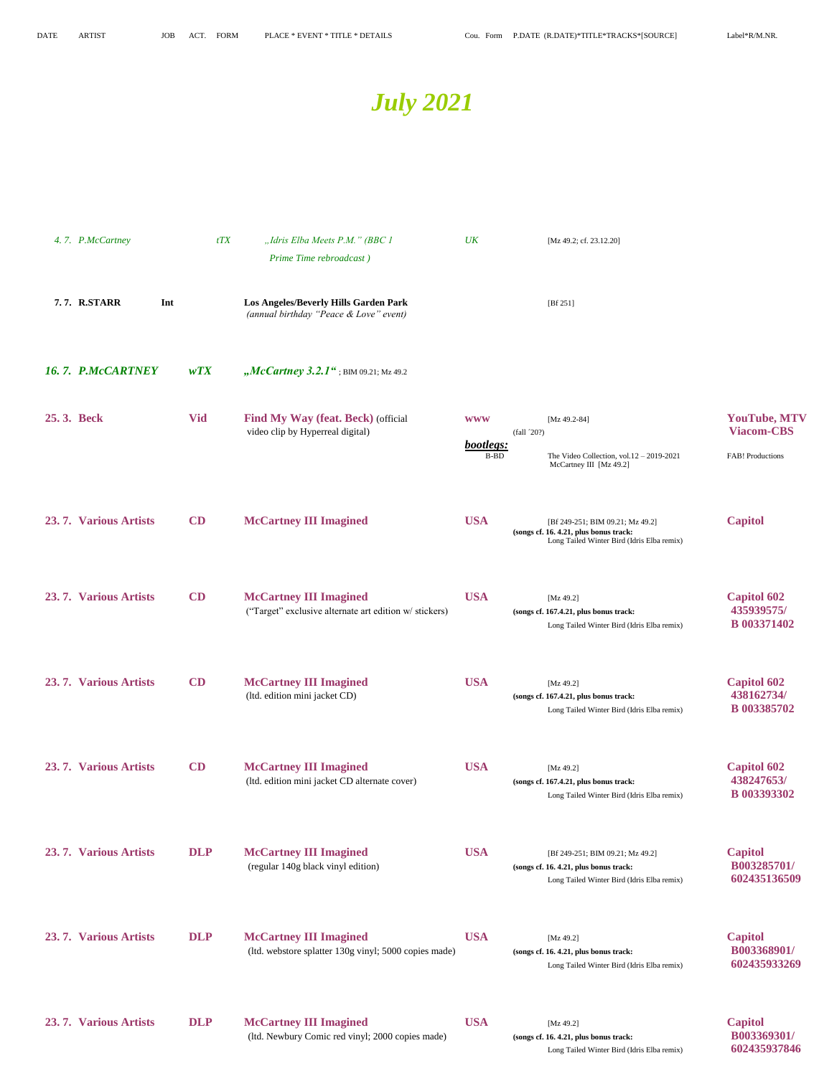Long Tailed Winter Bird (Idris Elba remix) **602435937846**



|            | 4.7. P.McCartney      | tTX        | "Idris Elba Meets P.M." (BBC 1<br>Prime Time rebroadcast)                               | UK                              |            | [Mz 49.2; cf. 23.12.20]                                                                                                  |                                                                     |
|------------|-----------------------|------------|-----------------------------------------------------------------------------------------|---------------------------------|------------|--------------------------------------------------------------------------------------------------------------------------|---------------------------------------------------------------------|
|            | 7.7. R.STARR<br>Int   |            | Los Angeles/Beverly Hills Garden Park<br>(annual birthday "Peace & Love" event)         |                                 |            | [ $Bf 251$ ]                                                                                                             |                                                                     |
|            | 16. 7. P.McCARTNEY    | WTX        | " <i>McCartney</i> 3.2.1"; BIM 09.21; Mz 49.2                                           |                                 |            |                                                                                                                          |                                                                     |
| 25.3. Beck |                       | <b>Vid</b> | Find My Way (feat. Beck) (official<br>video clip by Hyperreal digital)                  | <b>WWW</b><br>bootlegs:<br>B-BD | (fall 20?) | [Mz 49.2-84]<br>The Video Collection, vol. $12 - 2019 - 2021$<br>McCartney III [Mz 49.2]                                 | <b>YouTube, MTV</b><br><b>Viacom-CBS</b><br><b>FAB!</b> Productions |
|            | 23.7. Various Artists | CD         | <b>McCartney III Imagined</b>                                                           | <b>USA</b>                      |            | [Bf 249-251; BIM 09.21; Mz 49.2]<br>(songs cf. 16. 4.21, plus bonus track:<br>Long Tailed Winter Bird (Idris Elba remix) | <b>Capitol</b>                                                      |
|            | 23.7. Various Artists | CD         | <b>McCartney III Imagined</b><br>("Target" exclusive alternate art edition w/ stickers) | <b>USA</b>                      |            | [Mz 49.2]<br>(songs cf. 167.4.21, plus bonus track:<br>Long Tailed Winter Bird (Idris Elba remix)                        | <b>Capitol 602</b><br>435939575/<br><b>B</b> 003371402              |
|            | 23.7. Various Artists | CD         | <b>McCartney III Imagined</b><br>(ltd. edition mini jacket CD)                          | <b>USA</b>                      |            | [ $Mz$ 49.2]<br>(songs cf. 167.4.21, plus bonus track:<br>Long Tailed Winter Bird (Idris Elba remix)                     | <b>Capitol 602</b><br>438162734/<br>B 003385702                     |
|            | 23.7. Various Artists | CD         | <b>McCartney III Imagined</b><br>(ltd. edition mini jacket CD alternate cover)          | <b>USA</b>                      |            | [Mz 49.2]<br>(songs cf. 167.4.21, plus bonus track:<br>Long Tailed Winter Bird (Idris Elba remix)                        | <b>Capitol 602</b><br>438247653/<br><b>B</b> 003393302              |
|            | 23.7. Various Artists | <b>DLP</b> | <b>McCartney III Imagined</b><br>(regular 140g black vinyl edition)                     | <b>USA</b>                      |            | [Bf 249-251; BIM 09.21; Mz 49.2]<br>(songs cf. 16. 4.21, plus bonus track:<br>Long Tailed Winter Bird (Idris Elba remix) | <b>Capitol</b><br>B003285701/<br>602435136509                       |
|            | 23.7. Various Artists | <b>DLP</b> | <b>McCartney III Imagined</b><br>(ltd. webstore splatter 130g vinyl; 5000 copies made)  | <b>USA</b>                      |            | [Mz 49.2]<br>(songs cf. 16. 4.21, plus bonus track:<br>Long Tailed Winter Bird (Idris Elba remix)                        | <b>Capitol</b><br>B003368901/<br>602435933269                       |
|            | 23.7. Various Artists | <b>DLP</b> | <b>McCartney III Imagined</b><br>(ltd. Newbury Comic red vinyl; 2000 copies made)       | <b>USA</b>                      |            | [ $Mz$ 49.2]<br>(songs cf. 16. 4.21, plus bonus track:                                                                   | <b>Capitol</b><br>B003369301/                                       |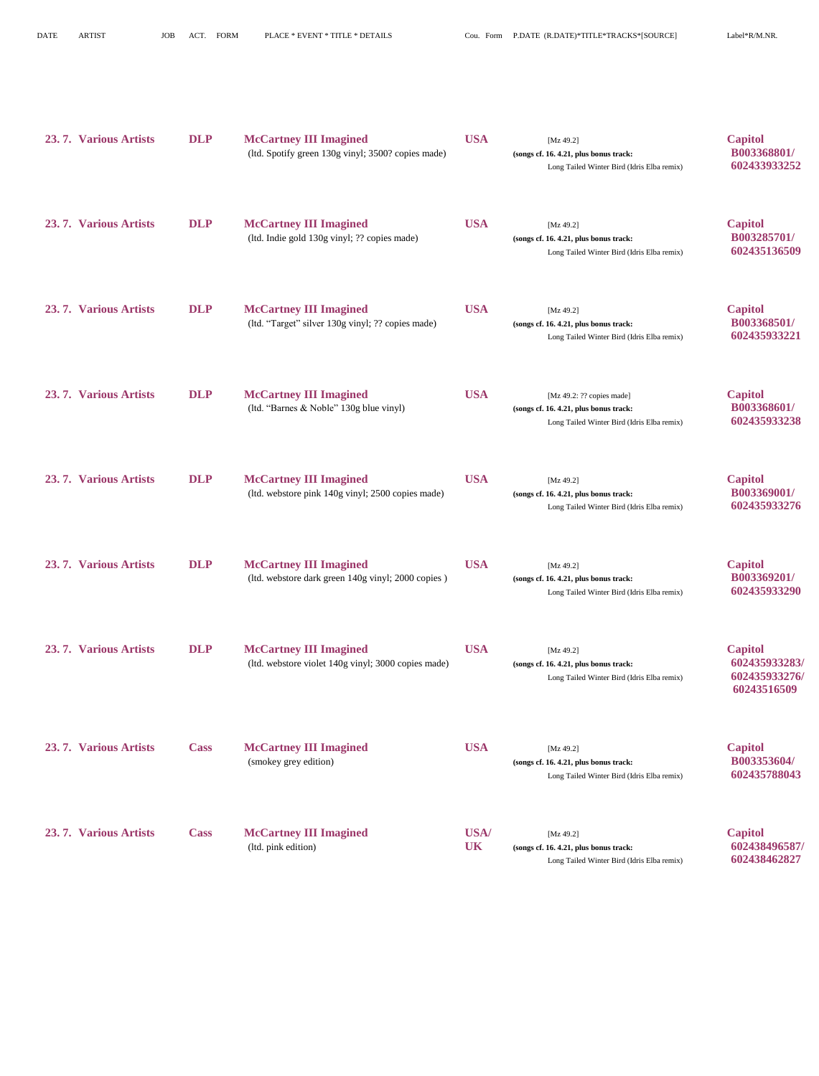| 23.7. Various Artists | <b>DLP</b>  | <b>McCartney III Imagined</b><br>(ltd. Spotify green 130g vinyl; 3500? copies made)  | <b>USA</b>        | [ $Mz$ 49.2]<br>(songs cf. 16. 4.21, plus bonus track:<br>Long Tailed Winter Bird (Idris Elba remix)              | <b>Capitol</b><br>B003368801/<br>602433933252                   |
|-----------------------|-------------|--------------------------------------------------------------------------------------|-------------------|-------------------------------------------------------------------------------------------------------------------|-----------------------------------------------------------------|
| 23.7. Various Artists | <b>DLP</b>  | <b>McCartney III Imagined</b><br>(ltd. Indie gold 130g vinyl; ?? copies made)        | <b>USA</b>        | [ $Mz$ 49.2]<br>(songs cf. 16. 4.21, plus bonus track:<br>Long Tailed Winter Bird (Idris Elba remix)              | <b>Capitol</b><br>B003285701/<br>602435136509                   |
| 23.7. Various Artists | <b>DLP</b>  | <b>McCartney III Imagined</b><br>(ltd. "Target" silver 130g vinyl; ?? copies made)   | <b>USA</b>        | [ $Mz$ 49.2]<br>(songs cf. 16. 4.21, plus bonus track:<br>Long Tailed Winter Bird (Idris Elba remix)              | <b>Capitol</b><br>B003368501/<br>602435933221                   |
| 23.7. Various Artists | <b>DLP</b>  | <b>McCartney III Imagined</b><br>(ltd. "Barnes & Noble" 130g blue vinyl)             | <b>USA</b>        | [Mz 49.2: ?? copies made]<br>(songs cf. 16. 4.21, plus bonus track:<br>Long Tailed Winter Bird (Idris Elba remix) | <b>Capitol</b><br>B003368601/<br>602435933238                   |
| 23.7. Various Artists | <b>DLP</b>  | <b>McCartney III Imagined</b><br>(ltd. webstore pink 140g vinyl; 2500 copies made)   | <b>USA</b>        | [ $Mz$ 49.2]<br>(songs cf. 16. 4.21, plus bonus track:<br>Long Tailed Winter Bird (Idris Elba remix)              | <b>Capitol</b><br>B003369001/<br>602435933276                   |
| 23.7. Various Artists | <b>DLP</b>  | <b>McCartney III Imagined</b><br>(ltd. webstore dark green 140g vinyl; 2000 copies)  | <b>USA</b>        | [ $Mz$ 49.2]<br>(songs cf. 16. 4.21, plus bonus track:<br>Long Tailed Winter Bird (Idris Elba remix)              | <b>Capitol</b><br>B003369201/<br>602435933290                   |
| 23.7. Various Artists | <b>DLP</b>  | <b>McCartney III Imagined</b><br>(ltd. webstore violet 140g vinyl; 3000 copies made) | <b>USA</b>        | [ $Mz$ 49.2]<br>(songs cf. 16. 4.21, plus bonus track:<br>Long Tailed Winter Bird (Idris Elba remix)              | <b>Capitol</b><br>602435933283/<br>602435933276/<br>60243516509 |
| 23.7. Various Artists | <b>Cass</b> | <b>McCartney III Imagined</b><br>(smokey grey edition)                               | <b>USA</b>        | [ $Mz$ 49.2]<br>(songs cf. 16. 4.21, plus bonus track:<br>Long Tailed Winter Bird (Idris Elba remix)              | <b>Capitol</b><br>B003353604/<br>602435788043                   |
| 23.7. Various Artists | <b>Cass</b> | <b>McCartney III Imagined</b><br>(ltd. pink edition)                                 | USA/<br><b>UK</b> | [ $Mz$ 49.2]<br>(songs cf. 16. 4.21, plus bonus track:<br>Long Tailed Winter Bird (Idris Elba remix)              | <b>Capitol</b><br>602438496587/<br>602438462827                 |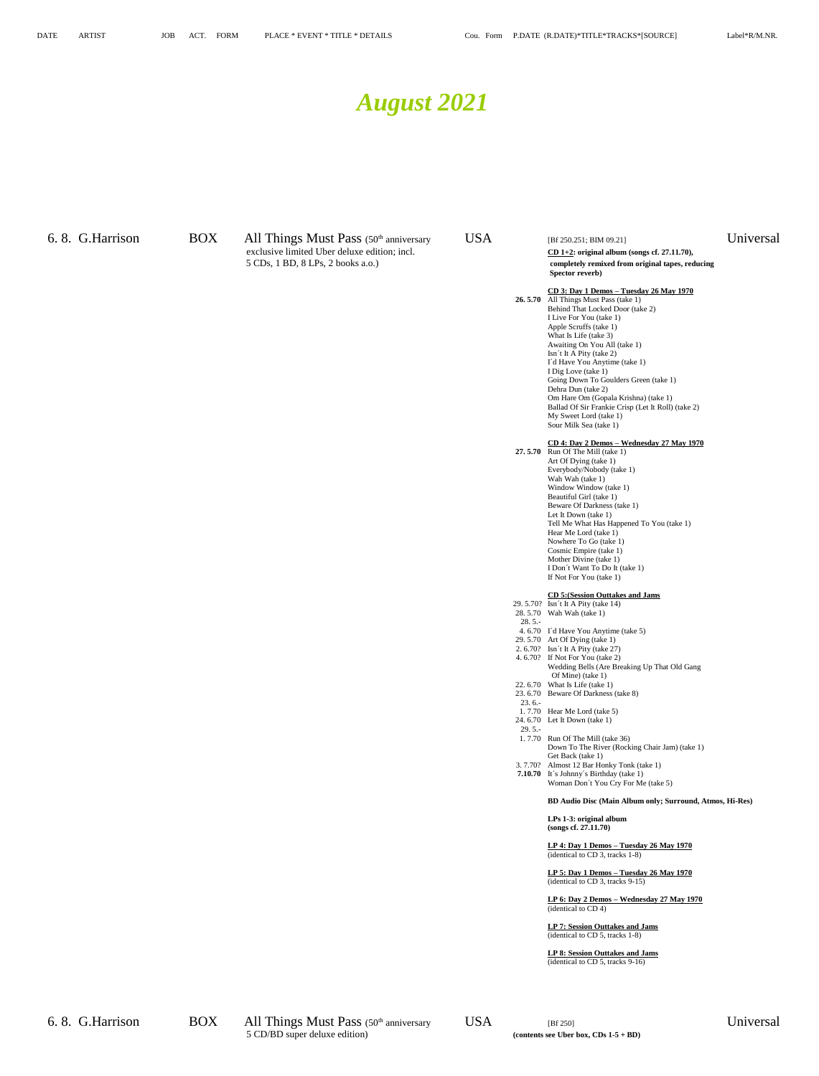### *August 2021*

6. 8. G. Harrison BOX All Things Must Pass (50<sup>th</sup> anniversary USA [Bf 250.251; BIM 09.21] Universal exclusive limited Uber deluxe edition; incl.<br>
5 CDs, 1 BD, 8 LPs, 2 books a.o.) **CD** 1+2: original album (songs cf. 27.11.70), **completely remixed from original tapes**, required to the state of the state of the state of th

### completely remixed from original tapes, reducing **Spector reverb)**

**CD 3: Day 1 Demos – Tuesday 26 May 1970 26. 5.70** All Things Must Pass (take 1) Behind That Locked Door (take 2) I Live For You (take 1) Apple Scruffs (take 1) What Is Life (take 3) Awaiting On You All (take 1) Isn´t It A Pity (take 2) I´d Have You Anytime (take 1) I Dig Love (take 1) Going Down To Goulders Green (take 1) Dehra Dun (take 2) Om Hare Om (Gopala Krishna) (take 1) Ballad Of Sir Frankie Crisp (Let It Roll) (take 2) My Sweet Lord (take 1) Sour Milk Sea (take 1)

**CD 4: Day 2 Demos – Wednesday 27 May 1970 27. 5.70** Run Of The Mill (take 1) Art Of Dying (take 1) Everybody/Nobody (take 1) Wah Wah (take 1) Window Window (take 1) Beautiful Girl (take 1) Beware Of Darkness (take 1) Let It Down (take 1) Tell Me What Has Happened To You (take 1) Hear Me Lord (take 1) Nowhere To Go (take 1) Cosmic Empire (take 1) Mother Divine (take 1) I Don´t Want To Do It (take 1) If Not For You (take 1)

### **CD 5:(Session Outtakes and Jams**

- 29. 5.70? Isn´t It A Pity (take 14) 28. 5.70 Wah Wah (take 1)
- 28. 5.-
- 4. 6.70 I´d Have You Anytime (take 5)
- 29. 5.70 Art Of Dying (take 1)
- 2. 6.70? Isn´t It A Pity (take 27)
- 4. 6.70? If Not For You (take 2) Wedding Bells (Are Breaking Up That Old Gang
- Of Mine) (take 1) 22. 6.70 What Is Life (take 1)
- 23. 6.70 Beware Of Darkness (take 8)
- 23. 6.- 1. 7.70 Hear Me Lord (take 5)
- 24. 6.70 Let It Down (take 1) 29. 5.-
- 1. 7.70 Run Of The Mill (take 36) Down To The River (Rocking Chair Jam) (take 1) Get Back (take 1)
- 3. 7.70? Almost 12 Bar Honky Tonk (take 1) **7.10.70** It´s Johnny´s Birthday (take 1)
- Woman Don´t You Cry For Me (take 5)

### **BD Audio Disc (Main Album only; Surround, Atmos, Hi-Res)**

**LPs 1-3: original album (songs cf. 27.11.70)**

**LP 4: Day 1 Demos – Tuesday 26 May 1970** (identical to CD 3, tracks 1-8)

**LP 5: Day 1 Demos – Tuesday 26 May 1970** (identical to CD 3, tracks 9-15)

**LP 6: Day 2 Demos – Wednesday 27 May 1970** (identical to CD 4)

**LP 7: Session Outtakes and Jams** (identical to CD 5, tracks 1-8)

**LP 8: Session Outtakes and Jams** (identical to CD 5, tracks 9-16)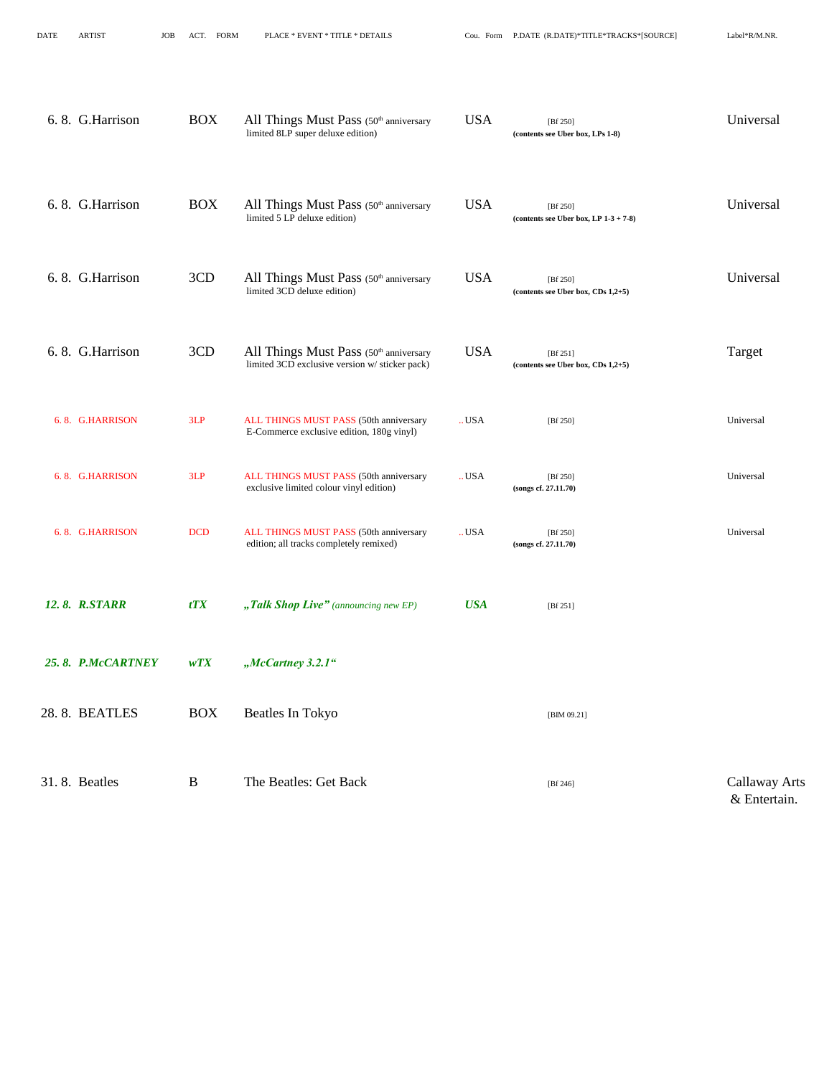| 6.8. G. Harrison  | <b>BOX</b> | All Things Must Pass (50th anniversary<br>limited 8LP super deluxe edition)              | <b>USA</b>                   | [Bf 250]<br>(contents see Uber box, LPs 1-8)       | Universal                            |
|-------------------|------------|------------------------------------------------------------------------------------------|------------------------------|----------------------------------------------------|--------------------------------------|
| 6.8. G. Harrison  | <b>BOX</b> | All Things Must Pass (50th anniversary<br>limited 5 LP deluxe edition)                   | <b>USA</b>                   | [Bf 250]<br>(contents see Uber box, LP $1-3+7-8$ ) | Universal                            |
| 6.8. G. Harrison  | 3CD        | All Things Must Pass (50th anniversary<br>limited 3CD deluxe edition)                    | <b>USA</b>                   | [Bf 250]<br>$(contents see Uber box, CDs 1,2+5)$   | Universal                            |
| 6.8. G. Harrison  | 3CD        | All Things Must Pass (50th anniversary<br>limited 3CD exclusive version w/ sticker pack) | <b>USA</b>                   | [ $Bf 251$ ]<br>(contents see Uber box, CDs 1,2+5) | Target                               |
| 6.8. G.HARRISON   | 3LP        | ALL THINGS MUST PASS (50th anniversary<br>E-Commerce exclusive edition, 180g vinyl)      | $\mathbf{.} \, \mathbf{USA}$ | [Bf 250]                                           | Universal                            |
| 6.8. G.HARRISON   | 3LP        | ALL THINGS MUST PASS (50th anniversary<br>exclusive limited colour vinyl edition)        | $\mathbf{.} \, \mathbf{USA}$ | [Bf 250]<br>(songs cf. 27.11.70)                   | Universal                            |
| 6.8. G.HARRISON   | <b>DCD</b> | ALL THINGS MUST PASS (50th anniversary<br>edition; all tracks completely remixed)        | . <i>USA</i>                 | [Bf 250]<br>(songs cf. 27.11.70)                   | Universal                            |
| 12.8. R.STARR     | tTX        | "Talk Shop Live" (announcing new EP)                                                     | <b>USA</b>                   | [ $Bf 251$ ]                                       |                                      |
| 25.8. P.McCARTNEY | WTX        | "McCartney 3.2.1"                                                                        |                              |                                                    |                                      |
| 28.8. BEATLES     | <b>BOX</b> | Beatles In Tokyo                                                                         |                              | [BIM 09.21]                                        |                                      |
| 31.8. Beatles     | B          | The Beatles: Get Back                                                                    |                              | [Bf 246]                                           | <b>Callaway Arts</b><br>& Entertain. |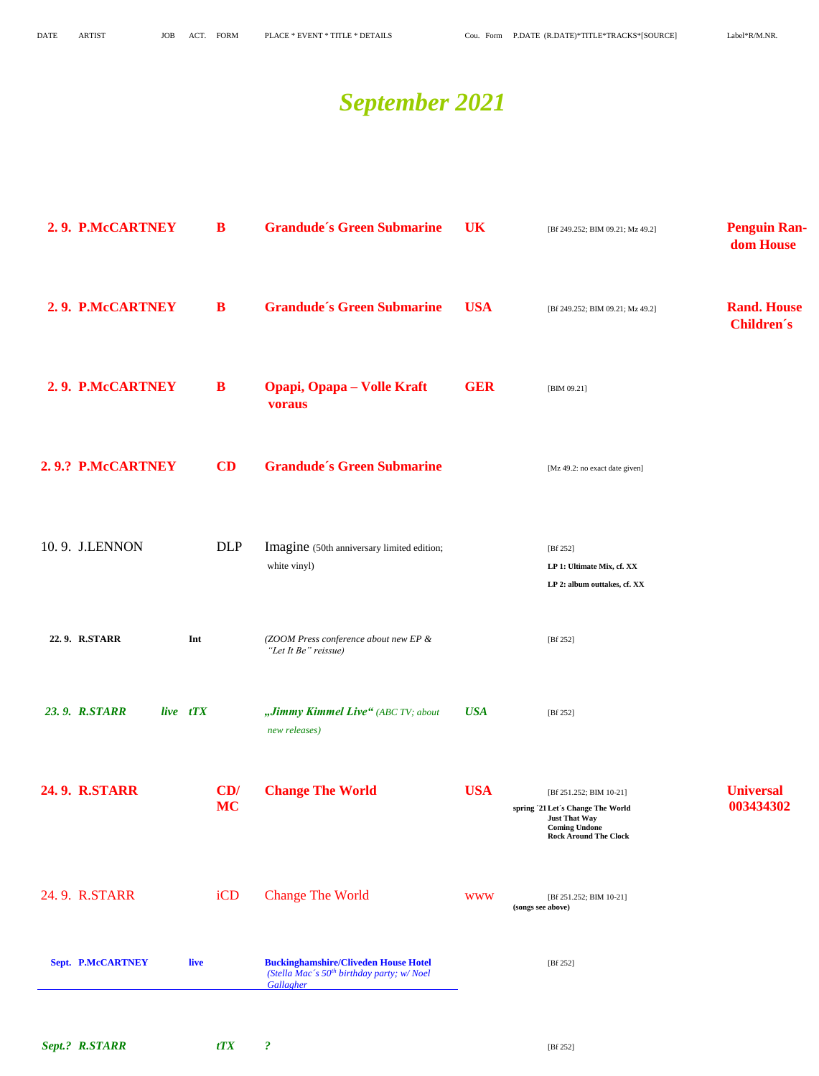## *September 2021*

| 2.9. P.McCARTNEY                 | B                | <b>Grandude's Green Submarine</b>                                                                                 | <b>UK</b>  | [Bf 249.252; BIM 09.21; Mz 49.2]                                                                                                             | <b>Penguin Ran-</b><br>dom House        |
|----------------------------------|------------------|-------------------------------------------------------------------------------------------------------------------|------------|----------------------------------------------------------------------------------------------------------------------------------------------|-----------------------------------------|
| 2.9. P.McCARTNEY                 | B                | <b>Grandude's Green Submarine</b>                                                                                 | <b>USA</b> | [Bf 249.252; BIM 09.21; Mz 49.2]                                                                                                             | <b>Rand. House</b><br><b>Children's</b> |
| 2.9. P.McCARTNEY                 | B                | <b>Opapi, Opapa – Volle Kraft</b><br>voraus                                                                       | <b>GER</b> | [BIM 09.21]                                                                                                                                  |                                         |
| 2.9.? P.McCARTNEY                | CD               | <b>Grandude's Green Submarine</b>                                                                                 |            | [Mz 49.2: no exact date given]                                                                                                               |                                         |
| 10.9. J.LENNON                   | <b>DLP</b>       | Imagine (50th anniversary limited edition;<br>white vinyl)                                                        |            | [Bf 252]<br>LP 1: Ultimate Mix, cf. XX<br>LP 2: album outtakes, cf. XX                                                                       |                                         |
| 22.9. R.STARR<br>Int             |                  | (ZOOM Press conference about new EP &<br>"Let It Be" reissue)                                                     |            | [Bf 252]                                                                                                                                     |                                         |
| 23.9. R.STARR<br>live tTX        |                  | "Jimmy Kimmel Live" (ABC TV; about<br>new releases)                                                               | <b>USA</b> | [Bf 252]                                                                                                                                     |                                         |
| <b>24.9. R.STARR</b>             | CD/<br><b>MC</b> | <b>Change The World</b>                                                                                           | <b>USA</b> | [Bf 251.252; BIM 10-21]<br>spring '21 Let's Change The World<br><b>Just That Way</b><br><b>Coming Undone</b><br><b>Rock Around The Clock</b> | <b>Universal</b><br>003434302           |
| 24.9. R.STARR                    | iCD              | <b>Change The World</b>                                                                                           | <b>WWW</b> | [Bf 251.252; BIM 10-21]<br>(songs see above)                                                                                                 |                                         |
| <b>Sept. P.McCARTNEY</b><br>live |                  | <b>Buckinghamshire/Cliveden House Hotel</b><br>(Stella Mac's 50 <sup>th</sup> birthday party; w/Noel<br>Gallagher |            | [Bf 252]                                                                                                                                     |                                         |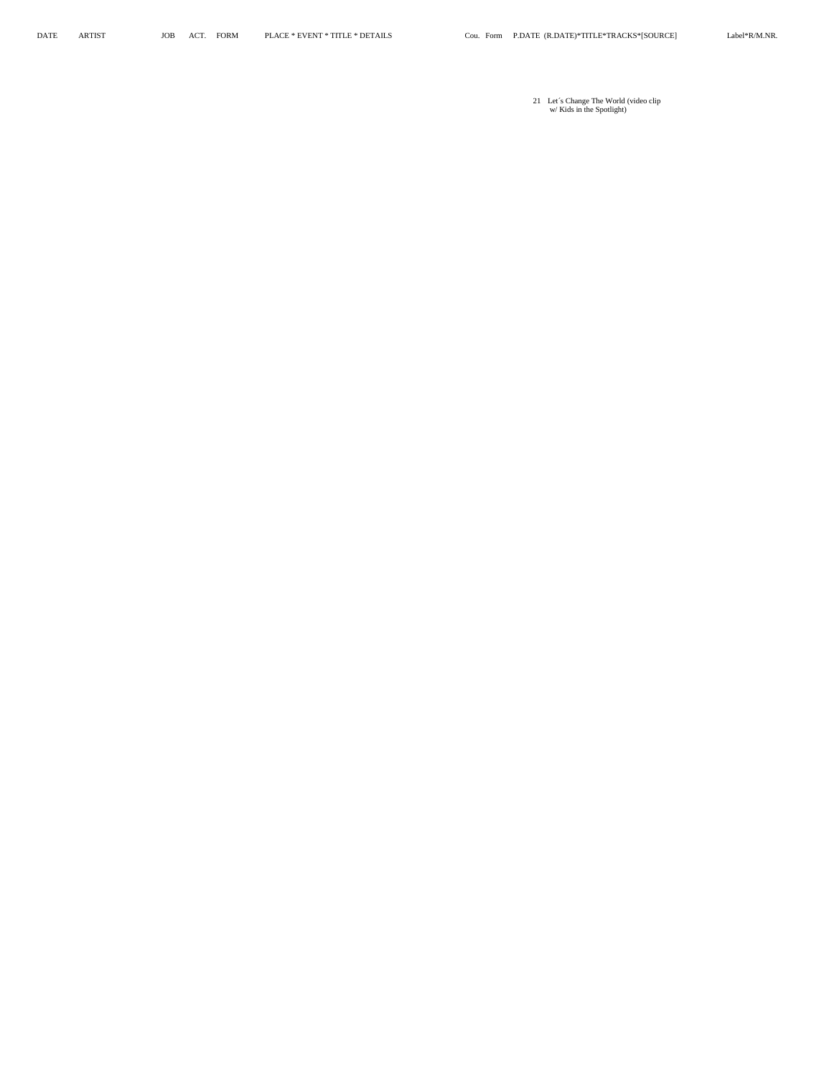21 Let´s Change The World (video clip w/ Kids in the Spotlight)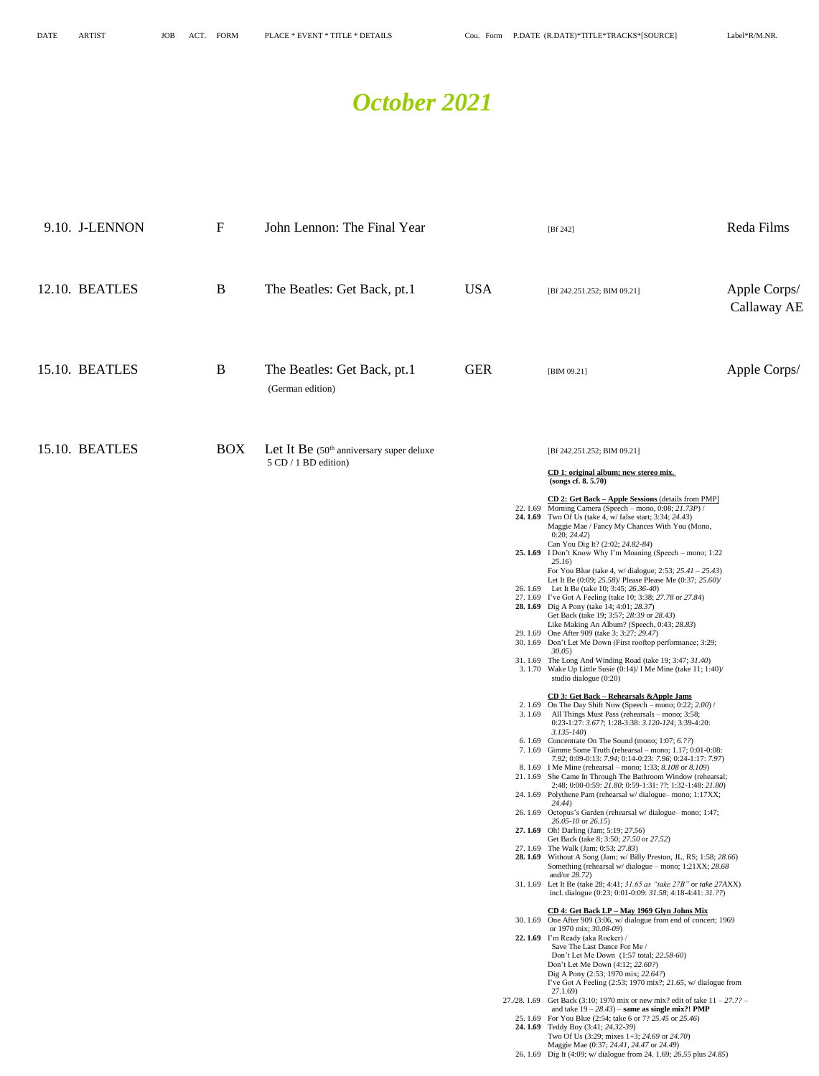26. 1.69 Dig It (4:09; w/ dialogue from 24. 1.69; *26.55* plus *24.85*)

### *October 2021*

| 9.10. J-LENNON | $\mathbf F$ | John Lennon: The Final Year                                        |            | [ $Bf 242$ ]                                                                                                                                                                                                                                                                                                                                                                                                                                                                                                                                                                                                                                                                                                                                                                                                                                                                                                                                                                                                                                                                                                                                                                                                                                                                                                                                                                                                                                                                                                                                                                                                                                                                                                                                                                                                                                                                                                                                                                                                                                                                                                                                                                                                                                                                                                                                                                                                                                                                                                                                                                                                                                                                                                                                                                                                                                                                                                   | Reda Films                  |
|----------------|-------------|--------------------------------------------------------------------|------------|----------------------------------------------------------------------------------------------------------------------------------------------------------------------------------------------------------------------------------------------------------------------------------------------------------------------------------------------------------------------------------------------------------------------------------------------------------------------------------------------------------------------------------------------------------------------------------------------------------------------------------------------------------------------------------------------------------------------------------------------------------------------------------------------------------------------------------------------------------------------------------------------------------------------------------------------------------------------------------------------------------------------------------------------------------------------------------------------------------------------------------------------------------------------------------------------------------------------------------------------------------------------------------------------------------------------------------------------------------------------------------------------------------------------------------------------------------------------------------------------------------------------------------------------------------------------------------------------------------------------------------------------------------------------------------------------------------------------------------------------------------------------------------------------------------------------------------------------------------------------------------------------------------------------------------------------------------------------------------------------------------------------------------------------------------------------------------------------------------------------------------------------------------------------------------------------------------------------------------------------------------------------------------------------------------------------------------------------------------------------------------------------------------------------------------------------------------------------------------------------------------------------------------------------------------------------------------------------------------------------------------------------------------------------------------------------------------------------------------------------------------------------------------------------------------------------------------------------------------------------------------------------------------------|-----------------------------|
| 12.10. BEATLES | B           | The Beatles: Get Back, pt.1                                        | <b>USA</b> | [Bf 242.251.252; BIM 09.21]                                                                                                                                                                                                                                                                                                                                                                                                                                                                                                                                                                                                                                                                                                                                                                                                                                                                                                                                                                                                                                                                                                                                                                                                                                                                                                                                                                                                                                                                                                                                                                                                                                                                                                                                                                                                                                                                                                                                                                                                                                                                                                                                                                                                                                                                                                                                                                                                                                                                                                                                                                                                                                                                                                                                                                                                                                                                                    | Apple Corps/<br>Callaway AE |
| 15.10. BEATLES | B           | The Beatles: Get Back, pt.1<br>(German edition)                    | <b>GER</b> | [BIM 09.21]                                                                                                                                                                                                                                                                                                                                                                                                                                                                                                                                                                                                                                                                                                                                                                                                                                                                                                                                                                                                                                                                                                                                                                                                                                                                                                                                                                                                                                                                                                                                                                                                                                                                                                                                                                                                                                                                                                                                                                                                                                                                                                                                                                                                                                                                                                                                                                                                                                                                                                                                                                                                                                                                                                                                                                                                                                                                                                    | Apple Corps/                |
| 15.10. BEATLES | <b>BOX</b>  | Let It Be $(50th$ anniversary super deluxe<br>5 CD / 1 BD edition) |            | [Bf 242.251.252; BIM 09.21]<br>CD 1: original album; new stereo mix.<br>(songs cf. 8.5.70)<br><b>CD 2: Get Back – Apple Sessions (details from PMP)</b><br>22. 1.69 Morning Camera (Speech – mono, 0:08; 21.73P) /<br><b>24. 1.69</b> Two Of Us (take 4, w/ false start; 3:34; 24.43)<br>Maggie Mae / Fancy My Chances With You (Mono,<br>0:20; 24.42)<br>Can You Dig It? (2:02; 24.82-84)<br>25.1.69 I Don't Know Why I'm Moaning (Speech – mono; 1:22<br>25.16)<br>For You Blue (take 4, w/ dialogue; 2:53; $25.41 - 25.43$ )<br>Let It Be (0:09; 25.58)/ Please Please Me (0:37; 25.60)/<br>26. 1.69 Let It Be (take 10; 3:45; 26.36-40)<br>27. 1.69 I've Got A Feeling (take 10; 3:38; 27.78 or 27.84)<br><b>28.1.69</b> Dig A Pony (take 14; 4:01; 28.37)<br>Get Back (take 19; 3:57; 28:39 or 28.43)<br>Like Making An Album? (Speech, 0:43; 28.83)<br>29.1.69 One After 909 (take 3; 3:27; 29.47)<br>30. 1.69 Don't Let Me Down (First rooftop performance; 3:29;<br>30.05)<br>31.1.69 The Long And Winding Road (take 19; 3:47; 31.40)<br>3. 1.70 Wake Up Little Susie $(0:14)$ I Me Mine (take 11; 1:40)<br>studio dialogue (0:20)<br><b>CD 3: Get Back - Rehearsals &amp; Apple Jams</b><br>2. 1.69 On The Day Shift Now (Speech – mono; $0:22$ ; $2.00$ ) /<br>3.1.69 All Things Must Pass (rehearsals – mono; 3:58;<br>0:23-1:27: 3.67?; 1:28-3:38: 3.120-124; 3:39-4:20:<br>$3.135 - 140$<br>6.1.69 Concentrate On The Sound (mono; 1:07; 6.22)<br>7. $1.69$ Gimme Some Truth (rehearsal – mono; $1.17$ ; $0:01-0:08$ :<br>7.92; 0:09-0:13: 7.94; 0:14-0:23: 7.96; 0:24-1:17: 7.97)<br>8. 1.69 I Me Mine (rehearsal – mono; 1:33; 8.108 or 8.109)<br>21. 1.69 She Came In Through The Bathroom Window (rehearsal;<br>2:48; 0:00-0:59: 21.80; 0:59-1:31: ??; 1:32-1:48: 21.80)<br>24. 1.69 Polythene Pam (rehearsal w/dialogue–mono; 1:17XX;<br>24.44)<br>26. 1.69 Octopus's Garden (rehearsal w/dialogue-mono; 1:47;<br>$26.05 - 10$ or $26.15$ )<br>27.1.69 Oh! Darling (Jam; 5:19; 27.56)<br>Get Back (take 8; 3:50; 27.50 or 27.52)<br>27. 1.69 The Walk (Jam; 0:53; 27.83)<br>28. 1.69 Without A Song (Jam; w/ Billy Preston, JL, RS; 1:58; 28.66)<br>Something (rehearsal w/dialogue - mono; 1:21XX; 28.68<br>and/or $28.72$ )<br>31. 1.69 Let It Be (take 28; 4:41; 31.65 as "take 27B" or take 27AXX)<br>incl. dialogue $(0.23; 0.01-0.09; 31.58; 4.18-4.41; 31.22)$<br>CD 4: Get Back LP - May 1969 Glyn Johns Mix<br>30. 1.69 One After 909 (3:06, w/ dialogue from end of concert; 1969<br>or 1970 mix; 30.08-09)<br>22.1.69 I'm Ready (aka Rocker) /<br>Save The Last Dance For Me /<br>Don't Let Me Down (1:57 total; 22.58-60)<br>Don't Let Me Down (4:12; 22.60?)<br>Dig A Pony (2:53; 1970 mix; 22.64?)<br>I've Got A Feeling $(2:53; 1970 \text{ mix}$ ?; $21.65$ , w/dialogue from<br>27.1.69)<br>27./28. 1.69 Get Back (3:10; 1970 mix or new mix? edit of take $11 - 27$ .?? – |                             |
|                |             |                                                                    |            | and take $19 - 28.43$ ) – same as single mix?! PMP<br>25.1.69 For You Blue (2:54; take 6 or 7? 25.45 or 25.46)<br><b>24. 1.69</b> Teddy Boy (3:41; 24.32-39)<br>Two Of Us $(3:29; \text{ mixes } 1+3; 24.69 \text{ or } 24.70)$<br>Maggie Mae (0:37; 24.41, 24.47 or 24.49)                                                                                                                                                                                                                                                                                                                                                                                                                                                                                                                                                                                                                                                                                                                                                                                                                                                                                                                                                                                                                                                                                                                                                                                                                                                                                                                                                                                                                                                                                                                                                                                                                                                                                                                                                                                                                                                                                                                                                                                                                                                                                                                                                                                                                                                                                                                                                                                                                                                                                                                                                                                                                                    |                             |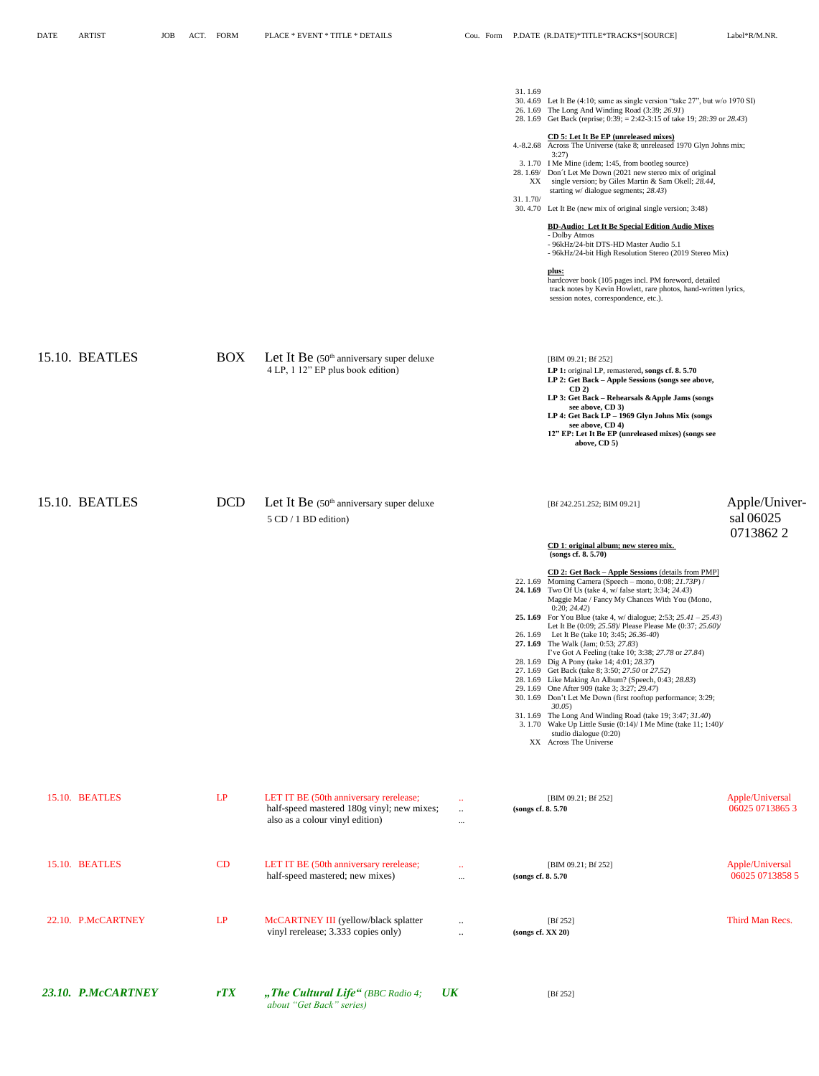*about "Get Back" series)*

| 23.10. P.McCARTNEY | rTX        | "The Cultural Life" (BBC Radio 4;                                                                                       | $\overline{UK}$                          |                     | [Bf 252]                                                                                                                                                                                                                                                                                                                                                                                                                                                                                                                                                                                                                                                                                                                                                                                                                                                                                                                                                                                                                                                                                                    |                                        |
|--------------------|------------|-------------------------------------------------------------------------------------------------------------------------|------------------------------------------|---------------------|-------------------------------------------------------------------------------------------------------------------------------------------------------------------------------------------------------------------------------------------------------------------------------------------------------------------------------------------------------------------------------------------------------------------------------------------------------------------------------------------------------------------------------------------------------------------------------------------------------------------------------------------------------------------------------------------------------------------------------------------------------------------------------------------------------------------------------------------------------------------------------------------------------------------------------------------------------------------------------------------------------------------------------------------------------------------------------------------------------------|----------------------------------------|
| 22.10. P.McCARTNEY | LP         | McCARTNEY III (yellow/black splatter<br>vinyl rerelease; 3.333 copies only)                                             | $\ddotsc$<br>$\ddotsc$                   |                     | [Bf 252]<br>(songs cf. XX 20)                                                                                                                                                                                                                                                                                                                                                                                                                                                                                                                                                                                                                                                                                                                                                                                                                                                                                                                                                                                                                                                                               | Third Man Recs.                        |
| 15.10. BEATLES     | CD         | LET IT BE (50th anniversary rerelease;<br>half-speed mastered; new mixes)                                               | $\mathbf{1}$<br>$\ldots$                 | (songs cf. 8.5.70)  | [BIM 09.21; Bf 252]                                                                                                                                                                                                                                                                                                                                                                                                                                                                                                                                                                                                                                                                                                                                                                                                                                                                                                                                                                                                                                                                                         | Apple/Universal<br>06025 0713858 5     |
| 15.10. BEATLES     | LP         | LET IT BE (50th anniversary rerelease;<br>half-speed mastered 180g vinyl; new mixes;<br>also as a colour vinyl edition) | $\bullet\bullet$<br>$\ddots$<br>$\cdots$ | (songs cf. 8. 5.70) | [BIM 09.21; Bf 252]                                                                                                                                                                                                                                                                                                                                                                                                                                                                                                                                                                                                                                                                                                                                                                                                                                                                                                                                                                                                                                                                                         | Apple/Universal<br>06025 0713865 3     |
| 15.10. BEATLES     |            | DCD Let It Be (50th anniversary super deluxe<br>$5 \text{ CD} / 1 \text{ BD}$ edition)                                  |                                          |                     | [Bf 242.251.252; BIM 09.21]<br>CD 1: original album; new stereo mix.<br>(songs cf. 8. 5.70)<br>CD 2: Get Back - Apple Sessions (details from PMP]<br>22. 1.69 Morning Camera (Speech – mono, 0:08; 21.73P) /<br><b>24. 1.69</b> Two Of Us (take 4, w/ false start; 3:34; 24.43)<br>Maggie Mae / Fancy My Chances With You (Mono,<br>0:20; 24.42)<br><b>25. 1.69</b> For You Blue (take 4, w/ dialogue; 2:53; $25.41 - 25.43$ )<br>Let It Be (0:09; 25.58)/ Please Please Me (0:37; 25.60)/<br>26. 1.69 Let It Be (take 10; 3:45; 26.36-40)<br>27.1.69 The Walk (Jam; 0:53; 27.83)<br>I've Got A Feeling (take 10; 3:38; 27.78 or 27.84)<br>28.1.69 Dig A Pony (take 14; 4:01; 28.37)<br>27.1.69 Get Back (take 8; 3:50; 27.50 or 27.52)<br>28. 1.69 Like Making An Album? (Speech, 0:43; 28.83)<br>29.1.69 One After 909 (take 3; 3:27; 29.47)<br>30. 1.69 Don't Let Me Down (first rooftop performance; 3:29;<br>30.05)<br>31.1.69 The Long And Winding Road (take 19; 3:47; 31.40)<br>3. 1.70 Wake Up Little Susie $(0:14)$ I Me Mine (take 11; 1:40)<br>studio dialogue (0:20)<br>XX Across The Universe | Apple/Univer-<br>sal 06025<br>07138622 |
| 15.10. BEATLES     | <b>BOX</b> | Let It Be (50 <sup>th</sup> anniversary super deluxe<br>4 LP, 1 12" EP plus book edition)                               |                                          |                     | [BIM 09.21; Bf 252]<br>LP 1: original LP, remastered, songs cf. 8. 5.70<br>LP 2: Get Back - Apple Sessions (songs see above,<br>$CD2$ )<br>LP 3: Get Back - Rehearsals & Apple Jams (songs<br>see above, CD 3)<br>LP 4: Get Back LP - 1969 Glyn Johns Mix (songs<br>see above, CD 4)<br>12" EP: Let It Be EP (unreleased mixes) (songs see<br>above, $CD$ 5)                                                                                                                                                                                                                                                                                                                                                                                                                                                                                                                                                                                                                                                                                                                                                |                                        |
|                    |            |                                                                                                                         |                                          | 31.1.69<br>31.1.70/ | 30.4.69 Let It Be (4:10; same as single version "take 27", but w/o 1970 SI)<br>26.1.69 The Long And Winding Road (3:39; 26.91)<br>28. 1.69 Get Back (reprise; 0:39; = 2:42-3:15 of take 19; 28:39 or 28.43)<br>CD 5: Let It Be EP (unreleased mixes)<br>4.-8.2.68 Across The Universe (take 8; unreleased 1970 Glyn Johns mix;<br>3:27<br>3.1.70 I Me Mine (idem; 1:45, from bootleg source)<br>28. 1.69/ Don't Let Me Down (2021 new stereo mix of original<br>XX single version; by Giles Martin & Sam Okell; 28.44,<br>starting $w/di$ dialogue segments; 28.43)<br>30.4.70 Let It Be (new mix of original single version; 3:48)<br><b>BD-Audio: Let It Be Special Edition Audio Mixes</b><br>- Dolby Atmos<br>- 96kHz/24-bit DTS-HD Master Audio 5.1<br>- 96kHz/24-bit High Resolution Stereo (2019 Stereo Mix)<br>plus:<br>hardcover book (105 pages incl. PM foreword, detailed<br>track notes by Kevin Howlett, rare photos, hand-written lyrics,<br>session notes, correspondence, etc.).                                                                                                           |                                        |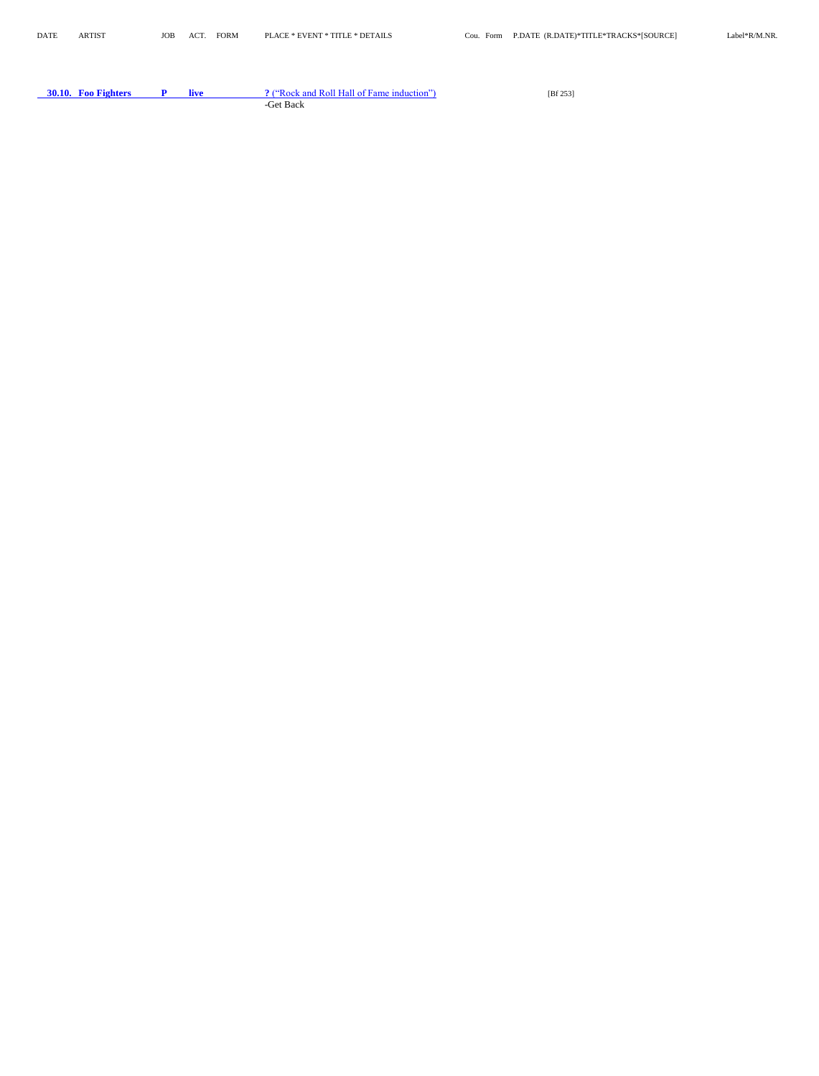**30.10. Foo Fighters P live ?** ("Rock and Roll Hall of Fame induction") [Bf 253] -Get Back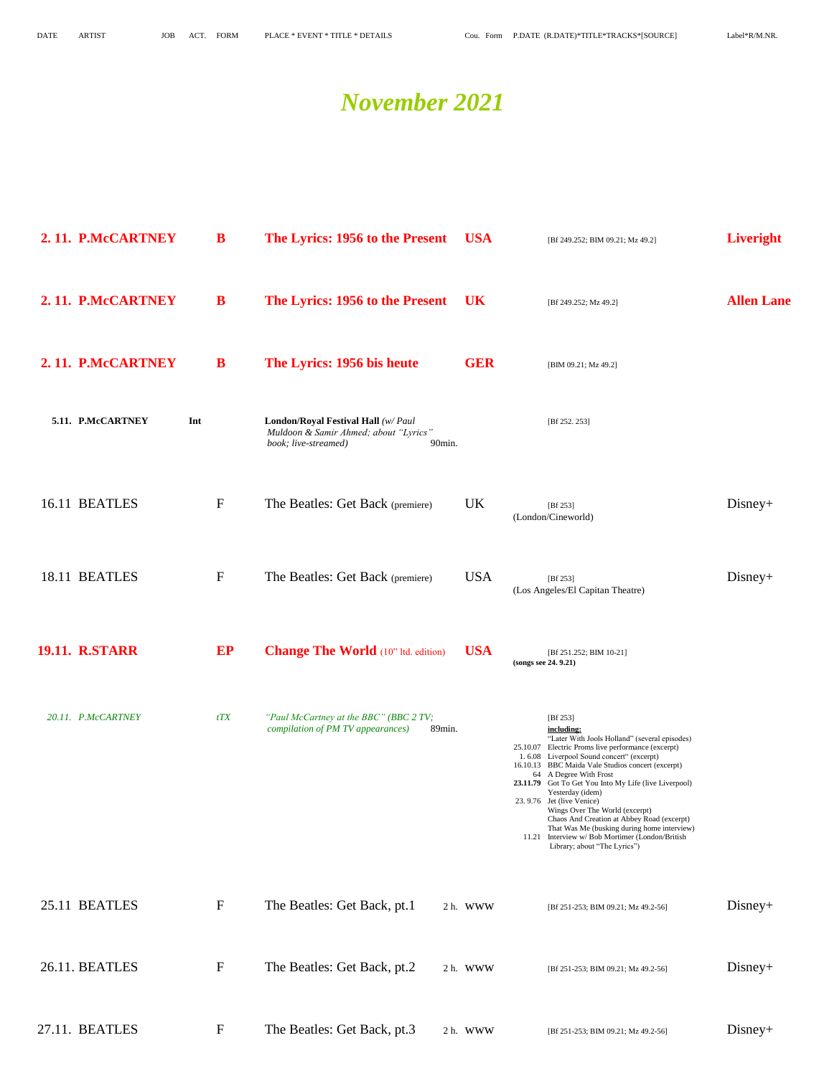### *November 2021*

| 2.11. P.McCARTNEY     |     | B                | The Lyrics: 1956 to the Present                                                                                | <b>USA</b> | [Bf 249.252; BIM 09.21; Mz 49.2]                                                                                                                                                                                                                                                                                                                                                                                                                                                                                                                                                         | <b>Liveright</b>  |
|-----------------------|-----|------------------|----------------------------------------------------------------------------------------------------------------|------------|------------------------------------------------------------------------------------------------------------------------------------------------------------------------------------------------------------------------------------------------------------------------------------------------------------------------------------------------------------------------------------------------------------------------------------------------------------------------------------------------------------------------------------------------------------------------------------------|-------------------|
| 2.11. P.McCARTNEY     |     | B                | The Lyrics: 1956 to the Present                                                                                | <b>UK</b>  | [Bf 249.252; Mz 49.2]                                                                                                                                                                                                                                                                                                                                                                                                                                                                                                                                                                    | <b>Allen Lane</b> |
| 2.11. P.McCARTNEY     |     | B                | The Lyrics: 1956 bis heute                                                                                     | <b>GER</b> | [BIM 09.21; Mz 49.2]                                                                                                                                                                                                                                                                                                                                                                                                                                                                                                                                                                     |                   |
| 5.11. P.McCARTNEY     | Int |                  | London/Royal Festival Hall (w/ Paul<br>Muldoon & Samir Ahmed; about "Lyrics"<br>book; live-streamed)<br>90min. |            | [Bf 252. 253]                                                                                                                                                                                                                                                                                                                                                                                                                                                                                                                                                                            |                   |
| 16.11 BEATLES         |     | $\boldsymbol{F}$ | The Beatles: Get Back (premiere)                                                                               | <b>UK</b>  | [Bf 253]<br>(London/Cineworld)                                                                                                                                                                                                                                                                                                                                                                                                                                                                                                                                                           | $Disney+$         |
| 18.11 BEATLES         |     | $\mathbf{F}$     | The Beatles: Get Back (premiere)                                                                               | <b>USA</b> | [ $Bf 253$ ]<br>(Los Angeles/El Capitan Theatre)                                                                                                                                                                                                                                                                                                                                                                                                                                                                                                                                         | $Disney+$         |
| <b>19.11. R.STARR</b> |     | EP               | <b>Change The World</b> (10" ltd. edition)                                                                     | <b>USA</b> | [Bf 251.252; BIM 10-21]<br>(songs see 24. 9.21)                                                                                                                                                                                                                                                                                                                                                                                                                                                                                                                                          |                   |
| 20.11. P.McCARTNEY    |     | tTX              | "Paul McCartney at the BBC" (BBC 2 TV;<br>compilation of PM TV appearances)<br>89min.                          |            | [Bf $253$ ]<br>including:<br>"Later With Jools Holland" (several episodes)<br>25.10.07 Electric Proms live performance (excerpt)<br>1.6.08 Liverpool Sound concert" (excerpt)<br>16.10.13 BBC Maida Vale Studios concert (excerpt)<br>64 A Degree With Frost<br>23.11.79 Got To Get You Into My Life (live Liverpool)<br>Yesterday (idem)<br>23.9.76 Jet (live Venice)<br>Wings Over The World (excerpt)<br>Chaos And Creation at Abbey Road (excerpt)<br>That Was Me (busking during home interview)<br>11.21 Interview w/ Bob Mortimer (London/British<br>Library; about "The Lyrics") |                   |
| 25.11 BEATLES         |     | $\mathbf F$      | The Beatles: Get Back, pt.1                                                                                    | 2 h. WWW   | [Bf 251-253; BIM 09.21; Mz 49.2-56]                                                                                                                                                                                                                                                                                                                                                                                                                                                                                                                                                      | $Disney+$         |
| 26.11. BEATLES        |     | $\mathbf F$      | The Beatles: Get Back, pt.2                                                                                    | 2 h. WWW   | [Bf 251-253; BIM 09.21; Mz 49.2-56]                                                                                                                                                                                                                                                                                                                                                                                                                                                                                                                                                      | $Disney+$         |
| 27.11. BEATLES        |     | $\mathbf{F}$     | The Beatles: Get Back, pt.3                                                                                    | 2 h. WWW   | [Bf 251-253; BIM 09.21; Mz 49.2-56]                                                                                                                                                                                                                                                                                                                                                                                                                                                                                                                                                      | $Disney+$         |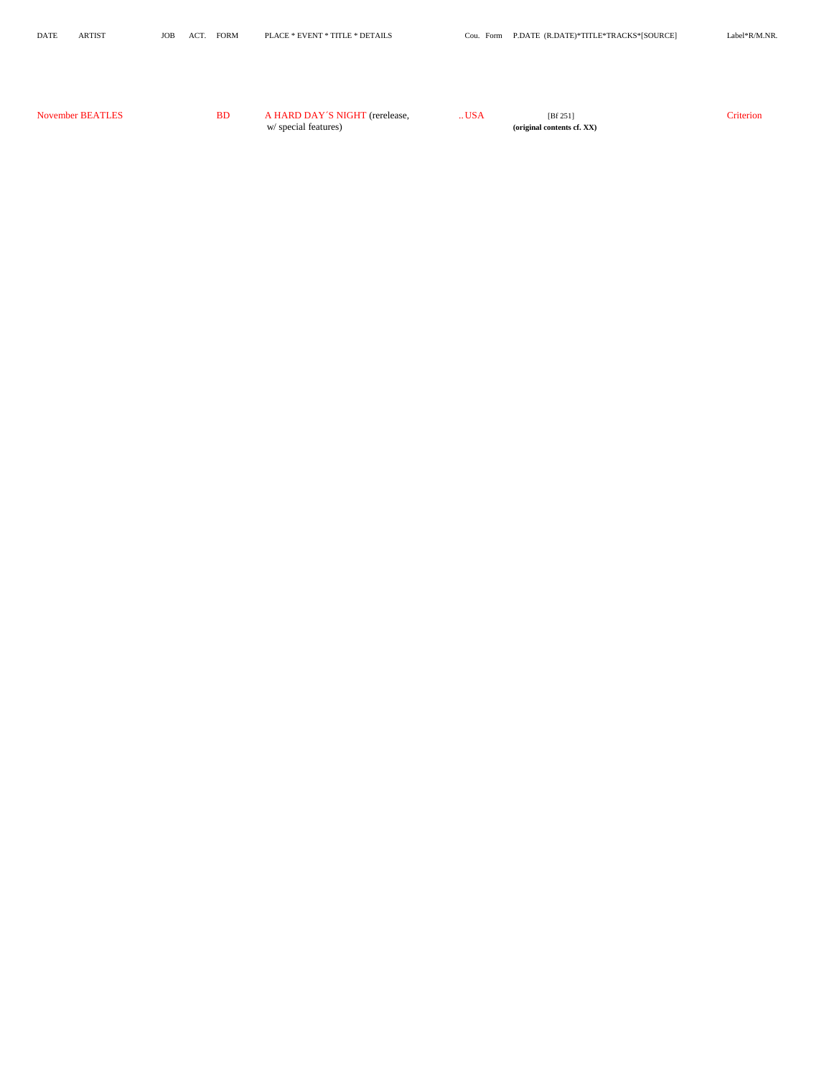| November BEATLES | <b>BD</b> | A HARD DAY'S NIGHT (rerelease, | USA | [Bf 251]                   | <b>Priterion</b> |
|------------------|-----------|--------------------------------|-----|----------------------------|------------------|
|                  |           | w/ special features)           |     | (original contents cf. XX) |                  |